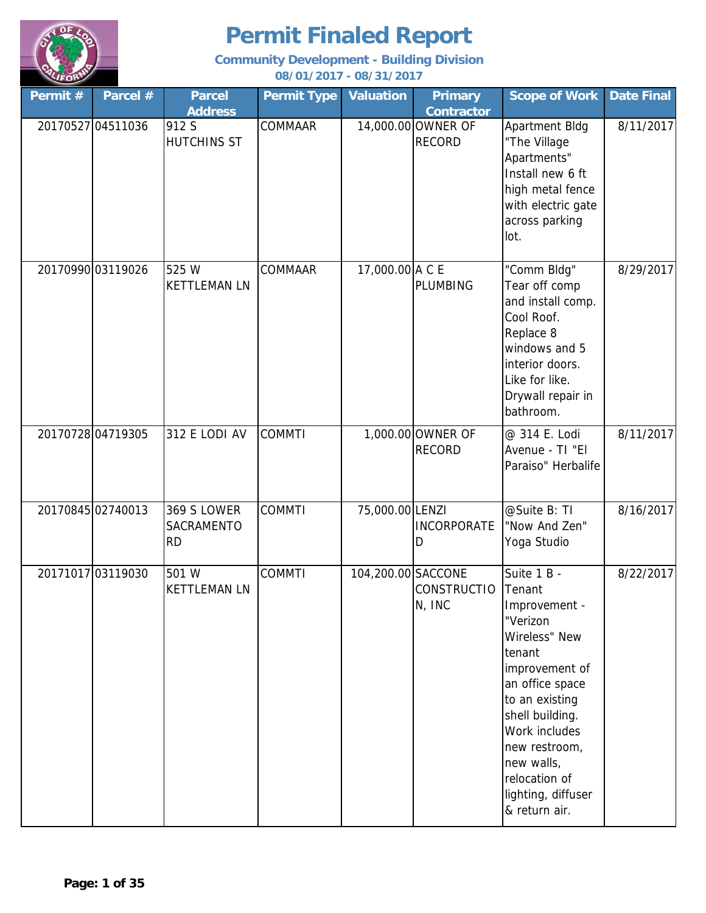

| Permit # | Parcel #          | <b>Parcel</b><br><b>Address</b>        | <b>Permit Type</b> | <b>Valuation</b>   | <b>Primary</b><br><b>Contractor</b> | <b>Scope of Work</b>                                                                                                                                                                                                                                            | <b>Date Final</b> |
|----------|-------------------|----------------------------------------|--------------------|--------------------|-------------------------------------|-----------------------------------------------------------------------------------------------------------------------------------------------------------------------------------------------------------------------------------------------------------------|-------------------|
|          | 20170527 04511036 | 912 S<br><b>HUTCHINS ST</b>            | COMMAAR            |                    | 14,000.00 OWNER OF<br><b>RECORD</b> | Apartment Bldg<br>"The Village<br>Apartments"<br>Install new 6 ft<br>high metal fence<br>with electric gate<br>across parking<br>lot.                                                                                                                           | 8/11/2017         |
|          | 20170990 03119026 | 525 W<br><b>KETTLEMAN LN</b>           | <b>COMMAAR</b>     | 17,000.00 A C E    | PLUMBING                            | "Comm Bldg"<br>Tear off comp<br>and install comp.<br>Cool Roof.<br>Replace 8<br>windows and 5<br>interior doors.<br>Like for like.<br>Drywall repair in<br>bathroom.                                                                                            | 8/29/2017         |
|          | 2017072804719305  | 312 E LODI AV                          | <b>COMMTI</b>      |                    | 1,000.00 OWNER OF<br><b>RECORD</b>  | @ 314 E. Lodi<br>Avenue - TI "El<br>Paraiso" Herbalife                                                                                                                                                                                                          | 8/11/2017         |
|          | 20170845 02740013 | 369 S LOWER<br>SACRAMENTO<br><b>RD</b> | <b>COMMTI</b>      | 75,000.00 LENZI    | <b>INCORPORATE</b><br>D             | @Suite B: TI<br>"Now And Zen"<br>Yoga Studio                                                                                                                                                                                                                    | 8/16/2017         |
|          | 20171017 03119030 | 501 W<br><b>KETTLEMAN LN</b>           | <b>COMMTI</b>      | 104,200.00 SACCONE | <b>CONSTRUCTIO</b><br>N, INC        | Suite 1 B -<br>Tenant<br>Improvement -<br>"Verizon<br>Wireless" New<br>tenant<br>improvement of<br>an office space<br>to an existing<br>shell building.<br>Work includes<br>new restroom,<br>new walls,<br>relocation of<br>lighting, diffuser<br>& return air. | 8/22/2017         |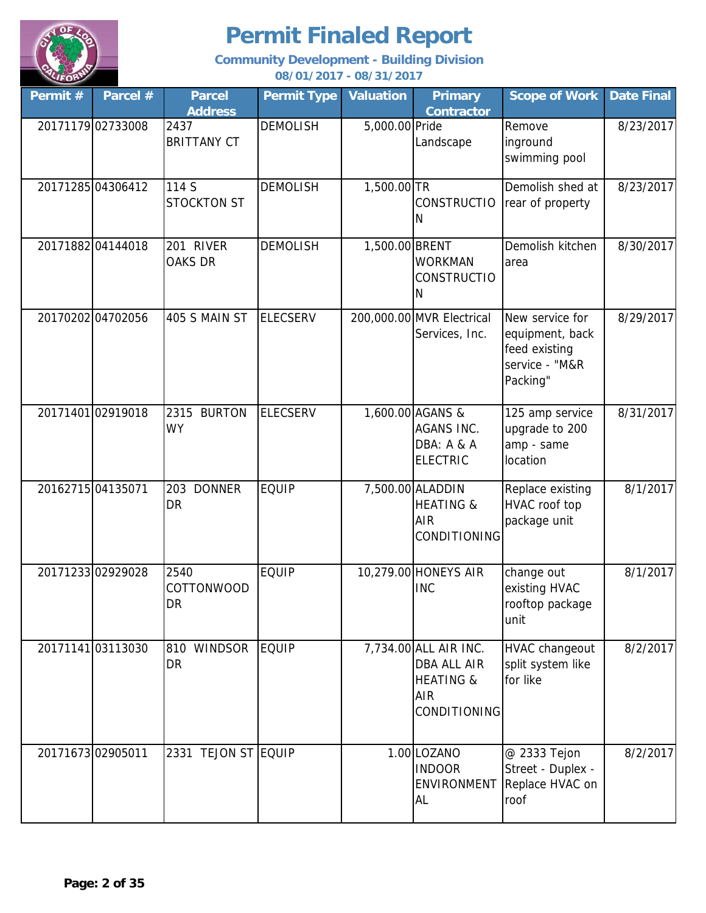

| Permit# | Parcel #          | <b>Parcel</b><br><b>Address</b> | <b>Permit Type</b> | <b>Valuation</b> | <b>Primary</b><br><b>Contractor</b>                                                                      | <b>Scope of Work</b>                                                              | <b>Date Final</b> |
|---------|-------------------|---------------------------------|--------------------|------------------|----------------------------------------------------------------------------------------------------------|-----------------------------------------------------------------------------------|-------------------|
|         | 20171179 02733008 | 2437<br><b>BRITTANY CT</b>      | <b>DEMOLISH</b>    | 5,000.00 Pride   | Landscape                                                                                                | Remove<br>inground<br>swimming pool                                               | 8/23/2017         |
|         | 2017128504306412  | 114 S<br><b>STOCKTON ST</b>     | <b>DEMOLISH</b>    | 1,500.00 TR      | <b>CONSTRUCTIO</b><br>N                                                                                  | Demolish shed at<br>rear of property                                              | 8/23/2017         |
|         | 20171882 04144018 | 201 RIVER<br><b>OAKS DR</b>     | <b>DEMOLISH</b>    | 1,500.00 BRENT   | <b>WORKMAN</b><br><b>CONSTRUCTIO</b><br>N                                                                | Demolish kitchen<br>area                                                          | 8/30/2017         |
|         | 2017020204702056  | 405 S MAIN ST                   | <b>ELECSERV</b>    |                  | 200,000.00 MVR Electrical<br>Services, Inc.                                                              | New service for<br>equipment, back<br>feed existing<br>service - "M&R<br>Packing" | 8/29/2017         |
|         | 2017140102919018  | 2315 BURTON<br>WY               | <b>ELECSERV</b>    |                  | 1,600.00 AGANS &<br>AGANS INC.<br>DBA: A & A<br><b>ELECTRIC</b>                                          | 125 amp service<br>upgrade to 200<br>amp - same<br>location                       | 8/31/2017         |
|         | 20162715 04135071 | 203<br><b>DONNER</b><br>DR      | <b>EQUIP</b>       |                  | 7,500.00 ALADDIN<br><b>HEATING &amp;</b><br><b>AIR</b><br><b>CONDITIONING</b>                            | Replace existing<br>HVAC roof top<br>package unit                                 | 8/1/2017          |
|         | 2017123302929028  | 2540<br><b>COTTONWOOD</b><br>DR | <b>EQUIP</b>       |                  | 10,279.00 HONEYS AIR<br><b>INC</b>                                                                       | change out<br>existing HVAC<br>rooftop package<br>unit                            | 8/1/2017          |
|         | 2017114103113030  | 810 WINDSOR<br>DR               | <b>EQUIP</b>       |                  | 7,734.00 ALL AIR INC.<br><b>DBA ALL AIR</b><br><b>HEATING &amp;</b><br><b>AIR</b><br><b>CONDITIONING</b> | <b>HVAC changeout</b><br>split system like<br>for like                            | 8/2/2017          |
|         | 2017167302905011  | 2331 TEJON ST EQUIP             |                    |                  | 1.00 LOZANO<br><b>INDOOR</b><br><b>ENVIRONMENT</b><br><b>AL</b>                                          | @ 2333 Tejon<br>Street - Duplex -<br>Replace HVAC on<br>roof                      | 8/2/2017          |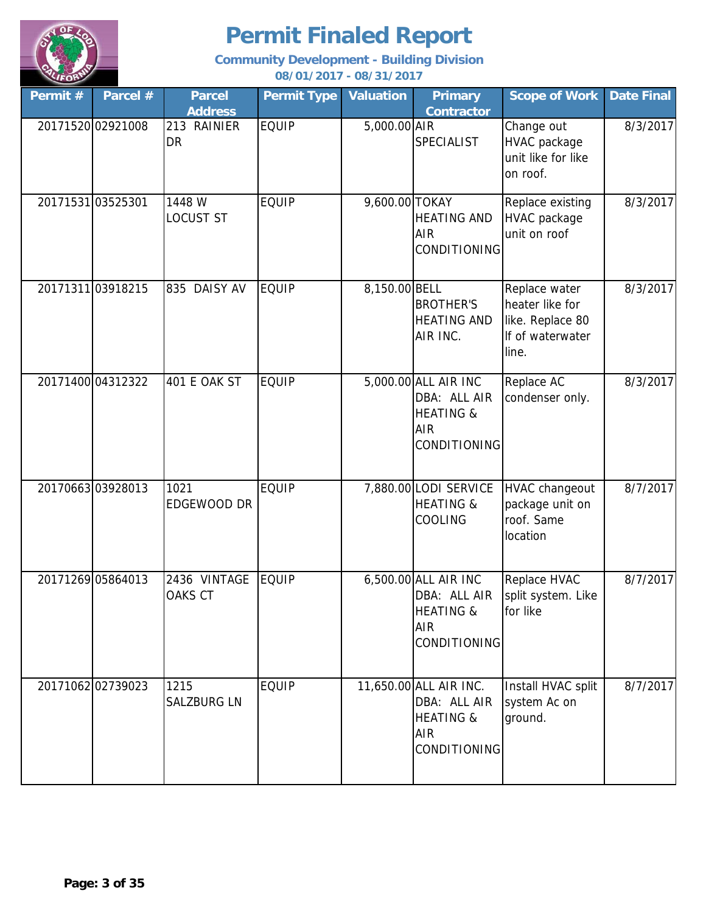

| Permit #         | Parcel #          | <b>Parcel</b><br><b>Address</b> | <b>Permit Type</b> | <b>Valuation</b> | <b>Primary</b><br>Contractor                                                                        | <b>Scope of Work</b>                                                              | <b>Date Final</b> |
|------------------|-------------------|---------------------------------|--------------------|------------------|-----------------------------------------------------------------------------------------------------|-----------------------------------------------------------------------------------|-------------------|
|                  | 20171520 02921008 | 213 RAINIER<br>DR               | <b>EQUIP</b>       | 5,000.00 AIR     | SPECIALIST                                                                                          | Change out<br>HVAC package<br>unit like for like<br>on roof.                      | 8/3/2017          |
| 2017153103525301 |                   | 1448 W<br><b>LOCUST ST</b>      | <b>EQUIP</b>       | 9,600.00 TOKAY   | <b>HEATING AND</b><br><b>AIR</b><br><b>CONDITIONING</b>                                             | Replace existing<br><b>HVAC</b> package<br>unit on roof                           | 8/3/2017          |
|                  | 2017131103918215  | 835 DAISY AV                    | <b>EQUIP</b>       | 8,150.00 BELL    | <b>BROTHER'S</b><br><b>HEATING AND</b><br>AIR INC.                                                  | Replace water<br>heater like for<br>like. Replace 80<br>If of waterwater<br>line. | 8/3/2017          |
|                  | 20171400 04312322 | <b>401 E OAK ST</b>             | <b>EQUIP</b>       |                  | 5,000.00 ALL AIR INC<br>DBA: ALL AIR<br><b>HEATING &amp;</b><br><b>AIR</b><br><b>CONDITIONING</b>   | Replace AC<br>condenser only.                                                     | 8/3/2017          |
|                  | 2017066303928013  | 1021<br>EDGEWOOD DR             | <b>EQUIP</b>       |                  | 7,880.00 LODI SERVICE<br><b>HEATING &amp;</b><br>COOLING                                            | <b>HVAC changeout</b><br>package unit on<br>roof. Same<br>location                | 8/7/2017          |
|                  | 20171269 05864013 | 2436 VINTAGE<br>OAKS CT         | <b>EQUIP</b>       |                  | 6,500.00 ALL AIR INC<br>DBA: ALL AIR<br><b>HEATING &amp;</b><br><b>AIR</b><br><b>CONDITIONING</b>   | Replace HVAC<br>split system. Like<br>for like                                    | 8/7/2017          |
|                  | 2017106202739023  | 1215<br>SALZBURG LN             | <b>EQUIP</b>       |                  | 11,650.00 ALL AIR INC.<br>DBA: ALL AIR<br><b>HEATING &amp;</b><br><b>AIR</b><br><b>CONDITIONING</b> | Install HVAC split<br>system Ac on<br>ground.                                     | 8/7/2017          |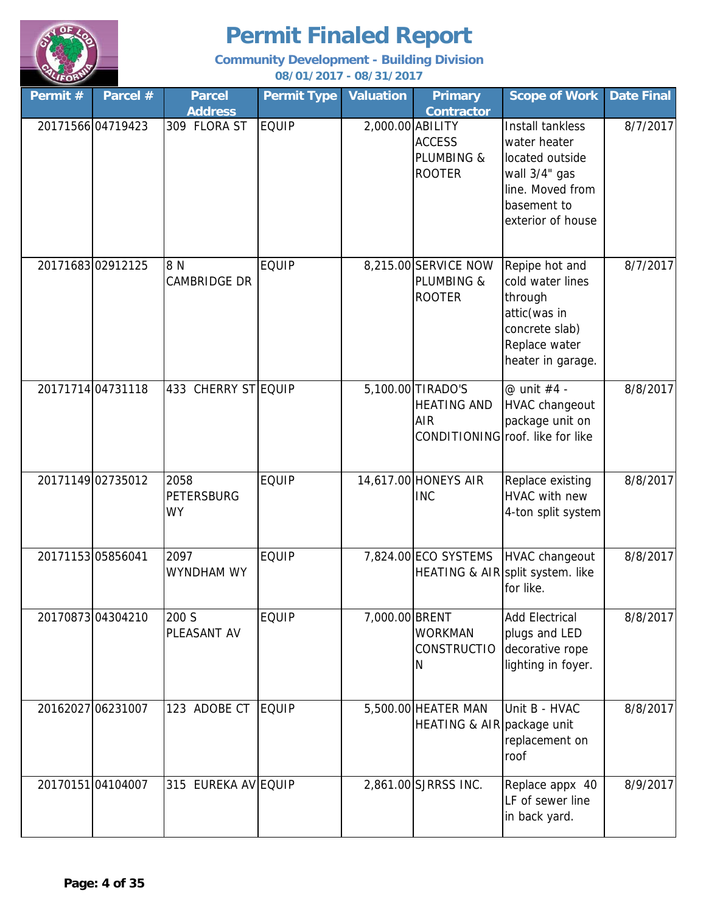

| Permit # | Parcel #          | <b>Parcel</b><br><b>Address</b> | <b>Permit Type</b> | <b>Valuation</b> | <b>Primary</b><br><b>Contractor</b>                     | <b>Scope of Work</b>                                                                                                         | <b>Date Final</b> |
|----------|-------------------|---------------------------------|--------------------|------------------|---------------------------------------------------------|------------------------------------------------------------------------------------------------------------------------------|-------------------|
|          | 2017156604719423  | 309 FLORA ST                    | <b>EQUIP</b>       | 2,000.00 ABILITY | <b>ACCESS</b><br><b>PLUMBING &amp;</b><br><b>ROOTER</b> | Install tankless<br>water heater<br>located outside<br>wall 3/4" gas<br>line. Moved from<br>basement to<br>exterior of house | 8/7/2017          |
|          | 2017168302912125  | 8 N<br>CAMBRIDGE DR             | <b>EQUIP</b>       |                  | 8,215.00 SERVICE NOW<br>PLUMBING &<br><b>ROOTER</b>     | Repipe hot and<br>cold water lines<br>through<br>attic(was in<br>concrete slab)<br>Replace water<br>heater in garage.        | 8/7/2017          |
|          | 20171714 04731118 | 433 CHERRY ST EQUIP             |                    |                  | 5,100.00 TIRADO'S<br><b>HEATING AND</b><br><b>AIR</b>   | @ unit #4 -<br><b>HVAC changeout</b><br>package unit on<br>CONDITIONING roof. like for like                                  | 8/8/2017          |
|          | 20171149 02735012 | 2058<br><b>PETERSBURG</b><br>WY | <b>EQUIP</b>       |                  | 14,617.00 HONEYS AIR<br><b>INC</b>                      | Replace existing<br>HVAC with new<br>4-ton split system                                                                      | 8/8/2017          |
|          | 2017115305856041  | 2097<br>WYNDHAM WY              | <b>EQUIP</b>       |                  | 7,824.00 ECO SYSTEMS                                    | <b>HVAC</b> changeout<br>HEATING & AIR split system. like<br>for like.                                                       | 8/8/2017          |
|          | 2017087304304210  | 200 S<br>PLEASANT AV            | <b>EQUIP</b>       | 7,000.00 BRENT   | <b>WORKMAN</b><br><b>CONSTRUCTIO</b><br>Ν               | <b>Add Electrical</b><br>plugs and LED<br>decorative rope<br>lighting in foyer.                                              | 8/8/2017          |
|          | 20162027 06231007 | 123 ADOBE CT                    | <b>EQUIP</b>       |                  | 5,500.00 HEATER MAN<br>HEATING & AIR package unit       | Unit B - HVAC<br>replacement on<br>roof                                                                                      | 8/8/2017          |
|          | 2017015104104007  | 315 EUREKA AV EQUIP             |                    |                  | 2,861.00 SJRRSS INC.                                    | Replace appx 40<br>LF of sewer line<br>in back yard.                                                                         | 8/9/2017          |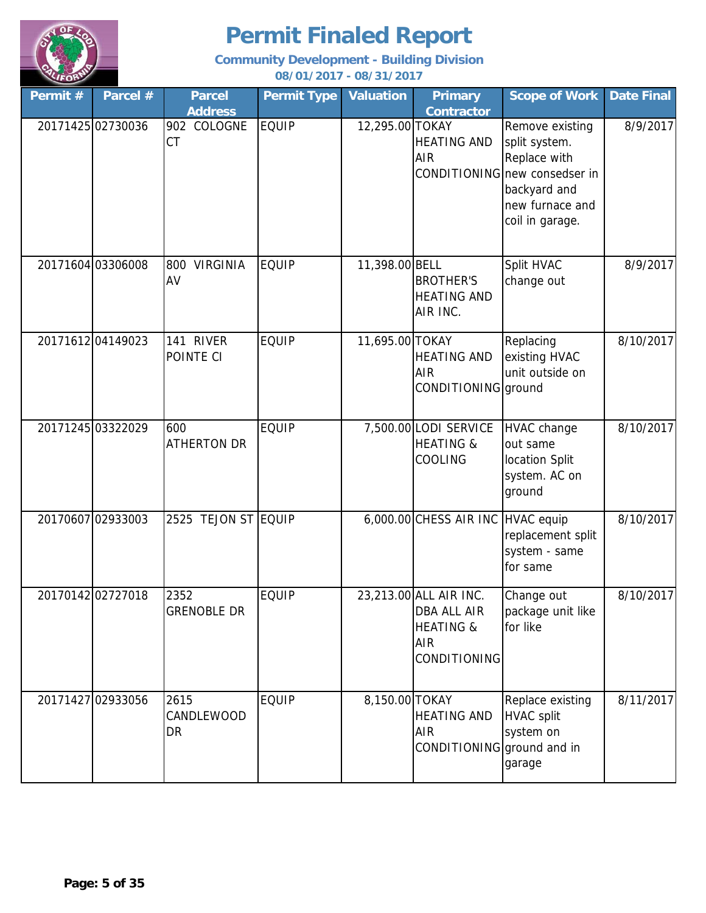

| Permit# | Parcel #          | <b>Parcel</b><br><b>Address</b> | <b>Permit Type</b> | <b>Valuation</b> | <b>Primary</b><br><b>Contractor</b>                                                                       | <b>Scope of Work</b>                                                                                                                    | <b>Date Final</b> |
|---------|-------------------|---------------------------------|--------------------|------------------|-----------------------------------------------------------------------------------------------------------|-----------------------------------------------------------------------------------------------------------------------------------------|-------------------|
|         | 20171425 02730036 | 902 COLOGNE<br>CT               | <b>EQUIP</b>       | 12,295.00 TOKAY  | <b>HEATING AND</b><br><b>AIR</b>                                                                          | Remove existing<br>split system.<br>Replace with<br>CONDITIONING new consedser in<br>backyard and<br>new furnace and<br>coil in garage. | 8/9/2017          |
|         | 20171604 03306008 | 800 VIRGINIA<br>AV              | <b>EQUIP</b>       | 11,398.00 BELL   | <b>BROTHER'S</b><br><b>HEATING AND</b><br>AIR INC.                                                        | Split HVAC<br>change out                                                                                                                | 8/9/2017          |
|         | 2017161204149023  | 141 RIVER<br>POINTE CI          | <b>EQUIP</b>       | 11,695.00 TOKAY  | <b>HEATING AND</b><br>AIR<br>CONDITIONING ground                                                          | Replacing<br>existing HVAC<br>unit outside on                                                                                           | 8/10/2017         |
|         | 20171245 03322029 | 600<br><b>ATHERTON DR</b>       | <b>EQUIP</b>       |                  | 7,500.00 LODI SERVICE<br><b>HEATING &amp;</b><br>COOLING                                                  | HVAC change<br>out same<br>location Split<br>system. AC on<br>ground                                                                    | 8/10/2017         |
|         | 20170607 02933003 | 2525 TEJON ST EQUIP             |                    |                  | 6,000.00 CHESS AIR INC HVAC equip                                                                         | replacement split<br>system - same<br>for same                                                                                          | 8/10/2017         |
|         | 2017014202727018  | 2352<br><b>GRENOBLE DR</b>      | <b>EQUIP</b>       |                  | 23,213.00 ALL AIR INC.<br><b>DBA ALL AIR</b><br><b>HEATING &amp;</b><br><b>AIR</b><br><b>CONDITIONING</b> | Change out<br>package unit like<br>for like                                                                                             | 8/10/2017         |
|         | 20171427 02933056 | 2615<br>CANDLEWOOD<br>DR        | <b>EQUIP</b>       | 8,150.00 TOKAY   | <b>HEATING AND</b><br><b>AIR</b><br>CONDITIONING ground and in                                            | Replace existing<br><b>HVAC split</b><br>system on<br>garage                                                                            | 8/11/2017         |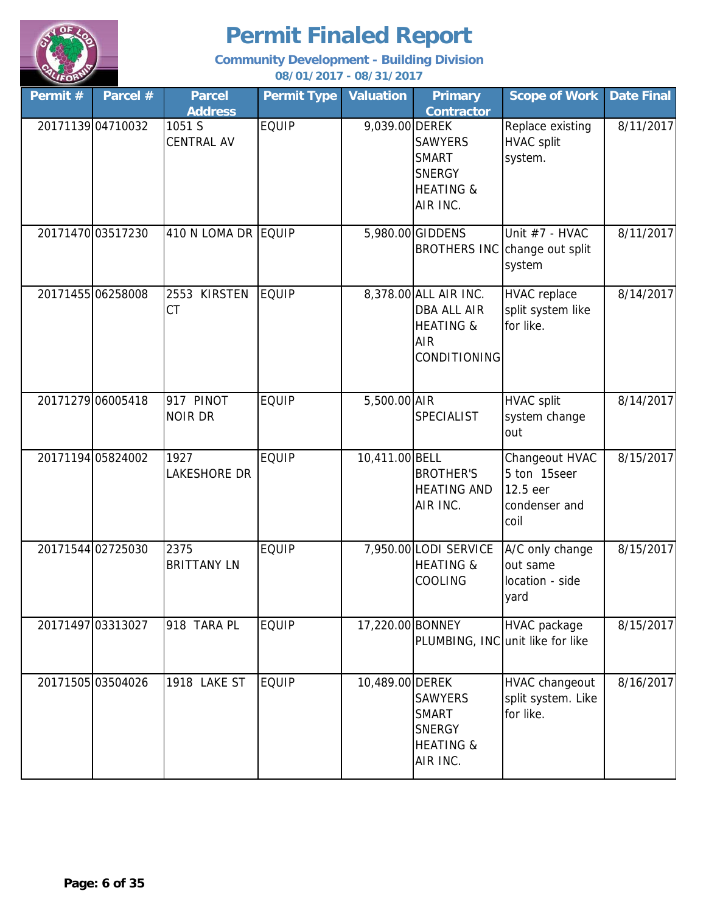

| Permit # | Parcel #          | <b>Parcel</b><br><b>Address</b> | <b>Permit Type</b> | <b>Valuation</b> | <b>Primary</b><br><b>Contractor</b>                                                               | <b>Scope of Work</b>                                                | <b>Date Final</b> |
|----------|-------------------|---------------------------------|--------------------|------------------|---------------------------------------------------------------------------------------------------|---------------------------------------------------------------------|-------------------|
|          | 20171139 04710032 | 1051 S<br><b>CENTRAL AV</b>     | <b>EQUIP</b>       | 9,039.00 DEREK   | <b>SAWYERS</b><br><b>SMART</b><br><b>SNERGY</b><br><b>HEATING &amp;</b><br>AIR INC.               | Replace existing<br><b>HVAC split</b><br>system.                    | 8/11/2017         |
|          | 2017147003517230  | 410 N LOMA DR EQUIP             |                    |                  | 5,980.00 GIDDENS                                                                                  | Unit #7 - HVAC<br><b>BROTHERS INC</b> change out split<br>system    | 8/11/2017         |
|          | 2017145506258008  | 2553 KIRSTEN<br>C <sub>T</sub>  | <b>EQUIP</b>       |                  | 8,378.00 ALL AIR INC.<br><b>DBA ALL AIR</b><br><b>HEATING &amp;</b><br><b>AIR</b><br>CONDITIONING | <b>HVAC</b> replace<br>split system like<br>for like.               | 8/14/2017         |
|          | 20171279 06005418 | 917 PINOT<br><b>NOIR DR</b>     | <b>EQUIP</b>       | 5,500.00 AIR     | <b>SPECIALIST</b>                                                                                 | <b>HVAC split</b><br>system change<br>out                           | 8/14/2017         |
|          | 20171194 05824002 | 1927<br>LAKESHORE DR            | <b>EQUIP</b>       | 10,411.00 BELL   | <b>BROTHER'S</b><br><b>HEATING AND</b><br>AIR INC.                                                | Changeout HVAC<br>5 ton 15seer<br>12.5 eer<br>condenser and<br>coil | 8/15/2017         |
|          | 20171544 02725030 | 2375<br><b>BRITTANY LN</b>      | <b>EQUIP</b>       |                  | 7,950.00 LODI SERVICE<br><b>HEATING &amp;</b><br>COOLING                                          | A/C only change<br>out same<br>location - side<br>yard              | 8/15/2017         |
|          | 20171497 03313027 | 918 TARA PL                     | <b>EQUIP</b>       | 17,220.00 BONNEY | PLUMBING, INC unit like for like                                                                  | <b>HVAC</b> package                                                 | 8/15/2017         |
|          | 20171505 03504026 | 1918 LAKE ST                    | <b>EQUIP</b>       | 10,489.00 DEREK  | <b>SAWYERS</b><br><b>SMART</b><br><b>SNERGY</b><br><b>HEATING &amp;</b><br>AIR INC.               | <b>HVAC changeout</b><br>split system. Like<br>for like.            | 8/16/2017         |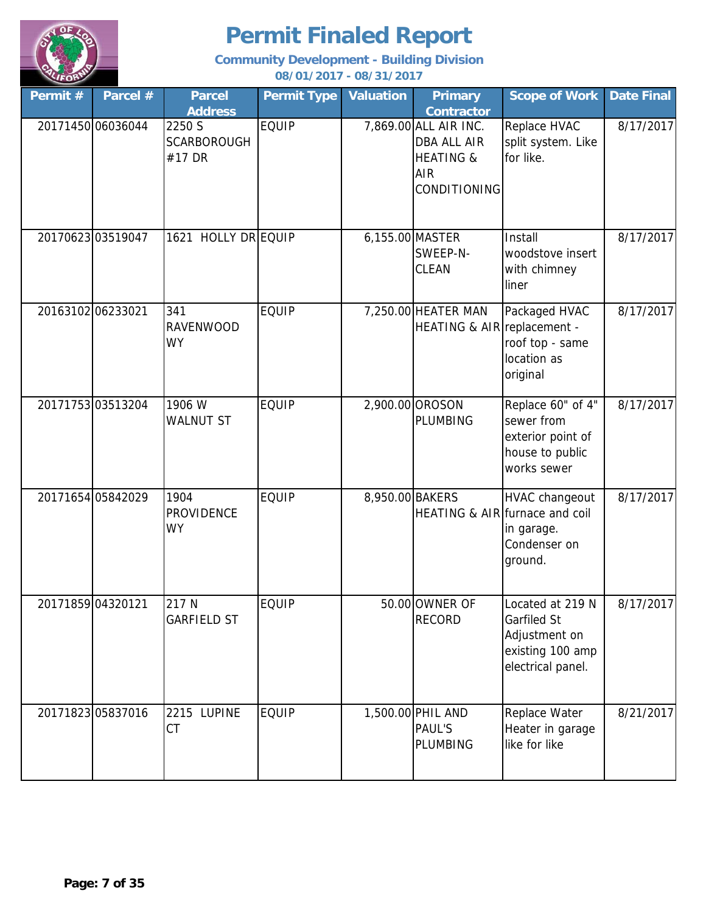

| Permit #          | Parcel #          | <b>Parcel</b><br><b>Address</b>        | <b>Permit Type</b> | <b>Valuation</b> | <b>Primary</b><br><b>Contractor</b>                                                               | <b>Scope of Work</b>                                                                             | <b>Date Final</b> |
|-------------------|-------------------|----------------------------------------|--------------------|------------------|---------------------------------------------------------------------------------------------------|--------------------------------------------------------------------------------------------------|-------------------|
|                   | 2017145006036044  | 2250 S<br><b>SCARBOROUGH</b><br>#17 DR | <b>EQUIP</b>       |                  | 7,869.00 ALL AIR INC.<br>DBA ALL AIR<br><b>HEATING &amp;</b><br><b>AIR</b><br><b>CONDITIONING</b> | Replace HVAC<br>split system. Like<br>for like.                                                  | 8/17/2017         |
| 2017062303519047  |                   | 1621 HOLLY DR EQUIP                    |                    |                  | 6,155.00 MASTER<br>SWEEP-N-<br><b>CLEAN</b>                                                       | Install<br>woodstove insert<br>with chimney<br>liner                                             | 8/17/2017         |
| 20163102 06233021 |                   | 341<br><b>RAVENWOOD</b><br><b>WY</b>   | <b>EQUIP</b>       |                  | 7,250.00 HEATER MAN<br>HEATING & AIR replacement -                                                | Packaged HVAC<br>roof top - same<br>location as<br>original                                      | 8/17/2017         |
| 2017175303513204  |                   | 1906 W<br><b>WALNUT ST</b>             | <b>EQUIP</b>       |                  | 2,900.00 OROSON<br><b>PLUMBING</b>                                                                | Replace 60" of 4"<br>sewer from<br>exterior point of<br>house to public<br>works sewer           | 8/17/2017         |
|                   | 20171654 05842029 | 1904<br><b>PROVIDENCE</b><br><b>WY</b> | <b>EQUIP</b>       | 8,950.00 BAKERS  |                                                                                                   | <b>HVAC</b> changeout<br>HEATING & AIR furnace and coil<br>in garage.<br>Condenser on<br>ground. | 8/17/2017         |
| 20171859 04320121 |                   | 217 N<br><b>GARFIELD ST</b>            | <b>EQUIP</b>       |                  | 50.00 OWNER OF<br><b>RECORD</b>                                                                   | Located at 219 N<br><b>Garfiled St</b><br>Adjustment on<br>existing 100 amp<br>electrical panel. | 8/17/2017         |
|                   | 20171823 05837016 | 2215 LUPINE<br>CT                      | <b>EQUIP</b>       |                  | 1,500.00 PHIL AND<br>PAUL'S<br>PLUMBING                                                           | Replace Water<br>Heater in garage<br>like for like                                               | 8/21/2017         |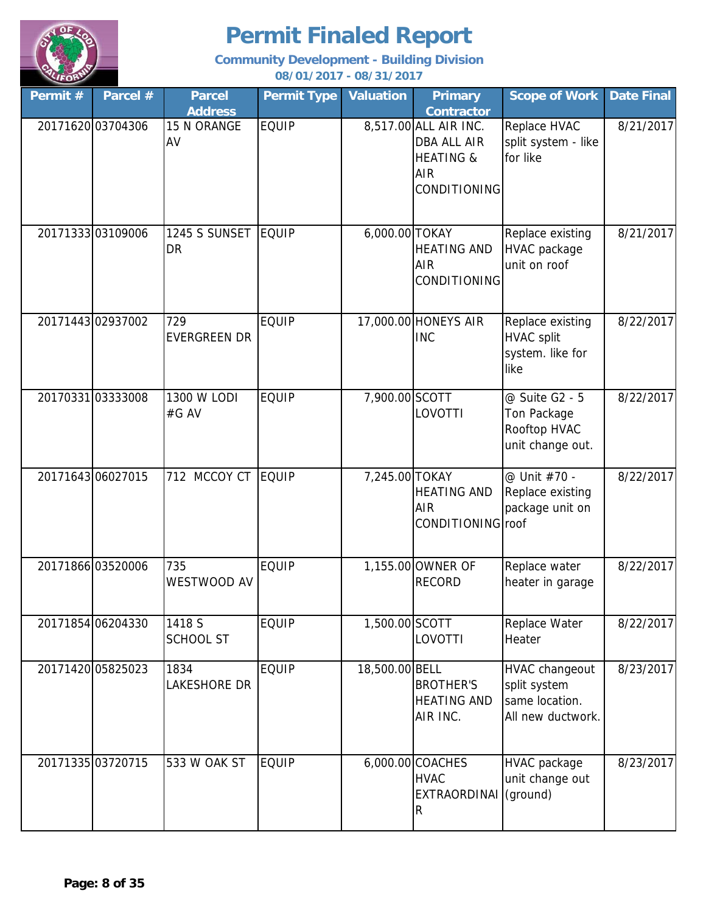

| Permit # | Parcel #          | <b>Parcel</b><br><b>Address</b> | <b>Permit Type</b> | <b>Valuation</b> | <b>Primary</b><br><b>Contractor</b>                                                               | <b>Scope of Work</b>                                                  | <b>Date Final</b> |
|----------|-------------------|---------------------------------|--------------------|------------------|---------------------------------------------------------------------------------------------------|-----------------------------------------------------------------------|-------------------|
|          | 20171620 03704306 | 15 N ORANGE<br>AV               | <b>EQUIP</b>       |                  | 8,517.00 ALL AIR INC.<br>DBA ALL AIR<br><b>HEATING &amp;</b><br><b>AIR</b><br><b>CONDITIONING</b> | Replace HVAC<br>split system - like<br>for like                       | 8/21/2017         |
|          | 2017133303109006  | 1245 S SUNSET<br>DR             | <b>EQUIP</b>       | 6,000.00 TOKAY   | <b>HEATING AND</b><br><b>AIR</b><br><b>CONDITIONING</b>                                           | Replace existing<br><b>HVAC</b> package<br>unit on roof               | 8/21/2017         |
|          | 2017144302937002  | 729<br><b>EVERGREEN DR</b>      | <b>EQUIP</b>       |                  | 17,000.00 HONEYS AIR<br><b>INC</b>                                                                | Replace existing<br><b>HVAC split</b><br>system. like for<br>like     | 8/22/2017         |
|          | 2017033103333008  | 1300 W LODI<br>#G AV            | <b>EQUIP</b>       | 7,900.00 SCOTT   | LOVOTTI                                                                                           | @ Suite G2 - 5<br>Ton Package<br>Rooftop HVAC<br>unit change out.     | 8/22/2017         |
|          | 2017164306027015  | 712 MCCOY CT EQUIP              |                    | 7,245.00 TOKAY   | <b>HEATING AND</b><br><b>AIR</b><br>CONDITIONING roof                                             | @ Unit #70 -<br>Replace existing<br>package unit on                   | 8/22/2017         |
|          | 2017186603520006  | 735<br>WESTWOOD AV              | <b>EQUIP</b>       |                  | 1,155.00 OWNER OF<br><b>RECORD</b>                                                                | Replace water<br>heater in garage                                     | 8/22/2017         |
|          | 20171854 06204330 | 1418 S<br><b>SCHOOL ST</b>      | <b>EQUIP</b>       | 1,500.00 SCOTT   | LOVOTTI                                                                                           | Replace Water<br>Heater                                               | 8/22/2017         |
|          | 20171420 05825023 | 1834<br>LAKESHORE DR            | <b>EQUIP</b>       | 18,500.00 BELL   | <b>BROTHER'S</b><br><b>HEATING AND</b><br>AIR INC.                                                | HVAC changeout<br>split system<br>same location.<br>All new ductwork. | 8/23/2017         |
|          | 20171335 03720715 | 533 W OAK ST                    | <b>EQUIP</b>       |                  | 6,000.00 COACHES<br><b>HVAC</b><br>EXTRAORDINAI (ground)<br>R                                     | HVAC package<br>unit change out                                       | 8/23/2017         |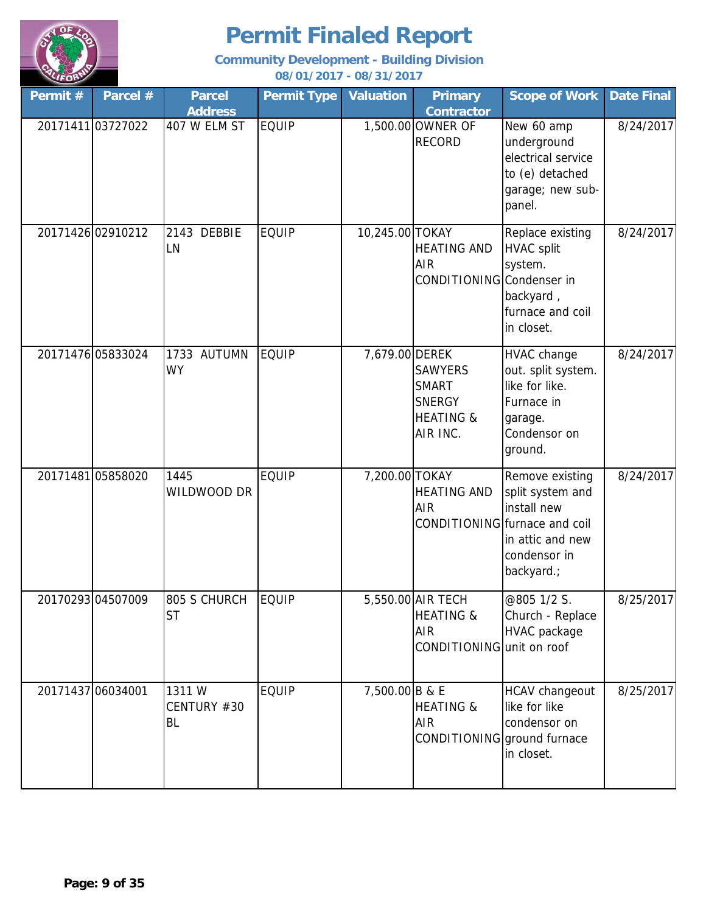

| Permit #          | Parcel #          | <b>Parcel</b><br><b>Address</b> | <b>Permit Type</b> | <b>Valuation</b> | <b>Primary</b><br><b>Contractor</b>                                                  | <b>Scope of Work</b>                                                                                                                  | <b>Date Final</b> |
|-------------------|-------------------|---------------------------------|--------------------|------------------|--------------------------------------------------------------------------------------|---------------------------------------------------------------------------------------------------------------------------------------|-------------------|
|                   | 20171411 03727022 | 407 W ELM ST                    | <b>EQUIP</b>       |                  | 1,500.00 OWNER OF<br><b>RECORD</b>                                                   | New 60 amp<br>underground<br>electrical service<br>to (e) detached<br>garage; new sub-<br>panel.                                      | 8/24/2017         |
|                   | 20171426 02910212 | 2143 DEBBIE<br>LN               | <b>EQUIP</b>       | 10,245.00 TOKAY  | <b>HEATING AND</b><br><b>AIR</b><br>CONDITIONING Condenser in                        | Replace existing<br><b>HVAC</b> split<br>system.<br>backyard,<br>furnace and coil<br>in closet.                                       | 8/24/2017         |
|                   | 20171476 05833024 | 1733 AUTUMN<br><b>WY</b>        | <b>EQUIP</b>       | 7,679.00 DEREK   | <b>SAWYERS</b><br><b>SMART</b><br><b>SNERGY</b><br><b>HEATING &amp;</b><br>AIR INC.  | <b>HVAC</b> change<br>out. split system.<br>like for like.<br>Furnace in<br>garage.<br>Condensor on<br>ground.                        | 8/24/2017         |
|                   | 2017148105858020  | 1445<br>WILDWOOD DR             | <b>EQUIP</b>       | 7,200.00 TOKAY   | <b>HEATING AND</b><br><b>AIR</b>                                                     | Remove existing<br>split system and<br>install new<br>CONDITIONING furnace and coil<br>in attic and new<br>condensor in<br>backyard.; | 8/24/2017         |
|                   | 20170293 04507009 | 805 S CHURCH<br><b>ST</b>       | <b>EQUIP</b>       |                  | 5,550.00 AIR TECH<br><b>HEATING &amp;</b><br><b>AIR</b><br>CONDITIONING unit on roof | @805 1/2 S.<br>Church - Replace<br><b>HVAC</b> package                                                                                | 8/25/2017         |
| 20171437 06034001 |                   | 1311 W<br>CENTURY #30<br>BL     | <b>EQUIP</b>       | 7,500.00 B & E   | <b>HEATING &amp;</b><br><b>AIR</b><br>CONDITIONING ground furnace                    | <b>HCAV changeout</b><br>like for like<br>condensor on<br>in closet.                                                                  | 8/25/2017         |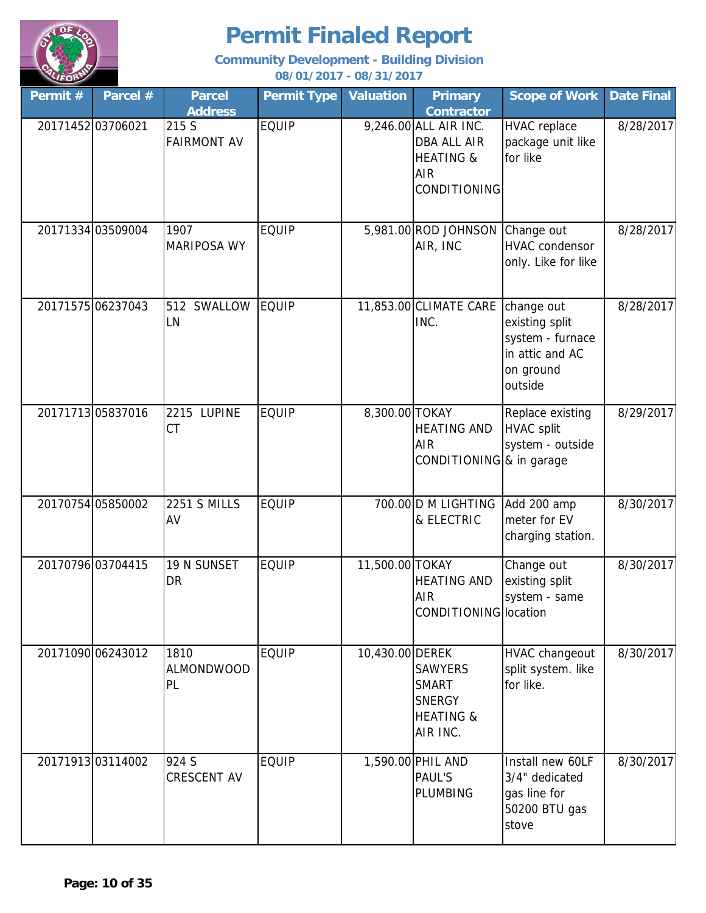

| Permit #          | Parcel #          | <b>Parcel</b><br><b>Address</b> | <b>Permit Type</b> | <b>Valuation</b> | <b>Primary</b><br><b>Contractor</b>                                                               | <b>Scope of Work</b>                                                                        | <b>Date Final</b> |
|-------------------|-------------------|---------------------------------|--------------------|------------------|---------------------------------------------------------------------------------------------------|---------------------------------------------------------------------------------------------|-------------------|
| 20171452 03706021 |                   | 215 S<br><b>FAIRMONT AV</b>     | <b>EQUIP</b>       |                  | 9,246.00 ALL AIR INC.<br>DBA ALL AIR<br><b>HEATING &amp;</b><br><b>AIR</b><br><b>CONDITIONING</b> | <b>HVAC</b> replace<br>package unit like<br>for like                                        | 8/28/2017         |
|                   | 20171334 03509004 | 1907<br><b>MARIPOSA WY</b>      | <b>EQUIP</b>       |                  | 5,981.00 ROD JOHNSON Change out<br>AIR, INC                                                       | <b>HVAC</b> condensor<br>only. Like for like                                                | 8/28/2017         |
|                   | 20171575 06237043 | 512 SWALLOW<br>LN               | <b>EQUIP</b>       |                  | 11,853.00 CLIMATE CARE<br>INC.                                                                    | change out<br>existing split<br>system - furnace<br>in attic and AC<br>on ground<br>outside | 8/28/2017         |
|                   | 2017171305837016  | 2215 LUPINE<br><b>CT</b>        | <b>EQUIP</b>       | 8,300.00 TOKAY   | <b>HEATING AND</b><br><b>AIR</b><br>CONDITIONING & in garage                                      | Replace existing<br><b>HVAC split</b><br>system - outside                                   | 8/29/2017         |
|                   | 20170754 05850002 | <b>2251 S MILLS</b><br>AV       | <b>EQUIP</b>       |                  | 700.00 D M LIGHTING<br>& ELECTRIC                                                                 | Add 200 amp<br>meter for EV<br>charging station.                                            | 8/30/2017         |
|                   | 20170796 03704415 | 19 N SUNSET<br>DR               | <b>EQUIP</b>       | 11,500.00 TOKAY  | <b>HEATING AND</b><br><b>AIR</b><br>CONDITIONING location                                         | Change out<br>existing split<br>system - same                                               | 8/30/2017         |
|                   | 20171090 06243012 | 1810<br><b>ALMONDWOOD</b><br>PL | <b>EQUIP</b>       | 10,430.00 DEREK  | <b>SAWYERS</b><br><b>SMART</b><br><b>SNERGY</b><br><b>HEATING &amp;</b><br>AIR INC.               | <b>HVAC changeout</b><br>split system. like<br>for like.                                    | 8/30/2017         |
|                   | 20171913 03114002 | 924 S<br>CRESCENT AV            | <b>EQUIP</b>       |                  | 1,590.00 PHIL AND<br><b>PAUL'S</b><br><b>PLUMBING</b>                                             | Install new 60LF<br>3/4" dedicated<br>gas line for<br>50200 BTU gas<br>stove                | 8/30/2017         |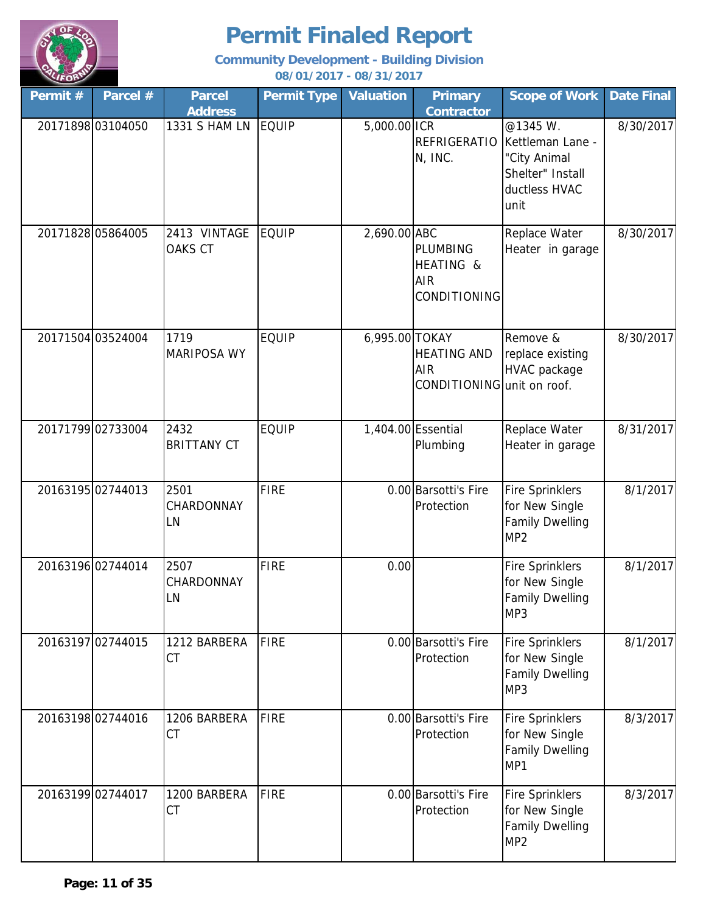

| Permit # | Parcel #          | <b>Parcel</b><br><b>Address</b> | <b>Permit Type</b> | <b>Valuation</b> | <b>Primary</b><br><b>Contractor</b>                            | <b>Scope of Work</b>                                                                                   | <b>Date Final</b> |
|----------|-------------------|---------------------------------|--------------------|------------------|----------------------------------------------------------------|--------------------------------------------------------------------------------------------------------|-------------------|
|          | 2017189803104050  | 1331 S HAM LN                   | <b>EQUIP</b>       | 5,000.00 ICR     | N, INC.                                                        | @1345 W.<br>REFRIGERATIO Kettleman Lane -<br>"City Animal<br>Shelter" Install<br>ductless HVAC<br>unit | 8/30/2017         |
|          | 20171828 05864005 | 2413 VINTAGE<br>OAKS CT         | <b>EQUIP</b>       | 2,690.00 ABC     | <b>PLUMBING</b><br>HEATING &<br><b>AIR</b><br>CONDITIONING     | Replace Water<br>Heater in garage                                                                      | 8/30/2017         |
|          | 20171504 03524004 | 1719<br><b>MARIPOSA WY</b>      | <b>EQUIP</b>       | 6,995.00 TOKAY   | <b>HEATING AND</b><br><b>AIR</b><br>CONDITIONING unit on roof. | Remove &<br>replace existing<br>HVAC package                                                           | 8/30/2017         |
|          | 20171799 02733004 | 2432<br><b>BRITTANY CT</b>      | <b>EQUIP</b>       |                  | 1,404.00 Essential<br>Plumbing                                 | Replace Water<br>Heater in garage                                                                      | 8/31/2017         |
|          | 20163195 02744013 | 2501<br>CHARDONNAY<br>LN        | <b>FIRE</b>        |                  | 0.00 Barsotti's Fire<br>Protection                             | <b>Fire Sprinklers</b><br>for New Single<br><b>Family Dwelling</b><br>MP <sub>2</sub>                  | 8/1/2017          |
|          | 2016319602744014  | 2507<br>CHARDONNAY<br>LN        | <b>FIRE</b>        | 0.00             |                                                                | <b>Fire Sprinklers</b><br>for New Single<br><b>Family Dwelling</b><br>MP3                              | 8/1/2017          |
|          | 20163197 02744015 | 1212 BARBERA<br><b>CT</b>       | <b>FIRE</b>        |                  | 0.00 Barsotti's Fire<br>Protection                             | <b>Fire Sprinklers</b><br>for New Single<br><b>Family Dwelling</b><br>MP3                              | 8/1/2017          |
|          | 2016319802744016  | 1206 BARBERA<br><b>CT</b>       | FIRE               |                  | 0.00 Barsotti's Fire<br>Protection                             | <b>Fire Sprinklers</b><br>for New Single<br><b>Family Dwelling</b><br>MP1                              | 8/3/2017          |
|          | 20163199 02744017 | 1200 BARBERA<br>СT              | <b>FIRE</b>        |                  | 0.00 Barsotti's Fire<br>Protection                             | <b>Fire Sprinklers</b><br>for New Single<br><b>Family Dwelling</b><br>MP <sub>2</sub>                  | 8/3/2017          |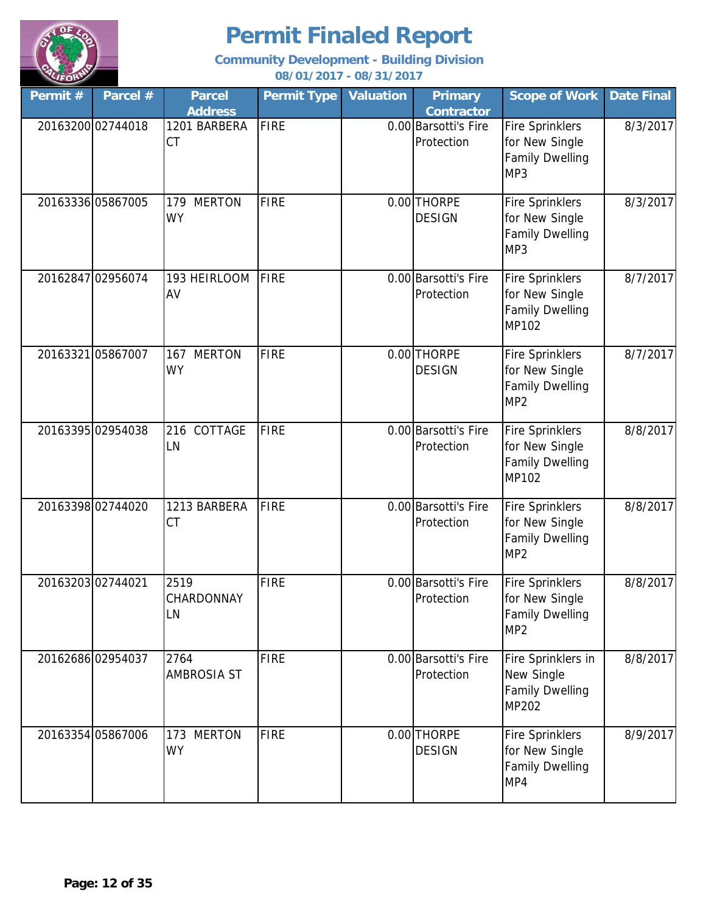

| Permit # | Parcel #          | <b>Parcel</b><br><b>Address</b> | <b>Permit Type</b> | <b>Valuation</b> | <b>Primary</b><br><b>Contractor</b> | <b>Scope of Work</b>                                                                  | <b>Date Final</b> |
|----------|-------------------|---------------------------------|--------------------|------------------|-------------------------------------|---------------------------------------------------------------------------------------|-------------------|
|          | 20163200 02744018 | 1201 BARBERA<br>СT              | FIRE               |                  | 0.00 Barsotti's Fire<br>Protection  | <b>Fire Sprinklers</b><br>for New Single<br><b>Family Dwelling</b><br>MP3             | 8/3/2017          |
|          | 20163336 05867005 | 179<br><b>MERTON</b><br>WY      | FIRE               |                  | 0.00 THORPE<br><b>DESIGN</b>        | <b>Fire Sprinklers</b><br>for New Single<br><b>Family Dwelling</b><br>MP3             | 8/3/2017          |
|          | 20162847 02956074 | 193 HEIRLOOM<br>AV              | FIRE               |                  | 0.00 Barsotti's Fire<br>Protection  | <b>Fire Sprinklers</b><br>for New Single<br><b>Family Dwelling</b><br>MP102           | 8/7/2017          |
|          | 20163321 05867007 | <b>MERTON</b><br>167<br>WY      | FIRE               |                  | 0.00 THORPE<br><b>DESIGN</b>        | <b>Fire Sprinklers</b><br>for New Single<br><b>Family Dwelling</b><br>MP <sub>2</sub> | 8/7/2017          |
|          | 20163395 02954038 | COTTAGE<br>216<br>LN            | <b>FIRE</b>        |                  | 0.00 Barsotti's Fire<br>Protection  | <b>Fire Sprinklers</b><br>for New Single<br><b>Family Dwelling</b><br>MP102           | 8/8/2017          |
|          | 2016339802744020  | 1213 BARBERA<br>CT              | FIRE               |                  | 0.00 Barsotti's Fire<br>Protection  | <b>Fire Sprinklers</b><br>for New Single<br><b>Family Dwelling</b><br>MP <sub>2</sub> | 8/8/2017          |
|          | 2016320302744021  | 2519<br>CHARDONNAY<br>LN        | <b>FIRE</b>        |                  | 0.00 Barsotti's Fire<br>Protection  | <b>Fire Sprinklers</b><br>for New Single<br><b>Family Dwelling</b><br>MP <sub>2</sub> | 8/8/2017          |
|          | 2016268602954037  | 2764<br>AMBROSIA ST             | <b>FIRE</b>        |                  | 0.00 Barsotti's Fire<br>Protection  | Fire Sprinklers in<br>New Single<br><b>Family Dwelling</b><br><b>MP202</b>            | 8/8/2017          |
|          | 20163354 05867006 | <b>MERTON</b><br>173<br>WY      | FIRE               |                  | 0.00 THORPE<br><b>DESIGN</b>        | <b>Fire Sprinklers</b><br>for New Single<br><b>Family Dwelling</b><br>MP4             | 8/9/2017          |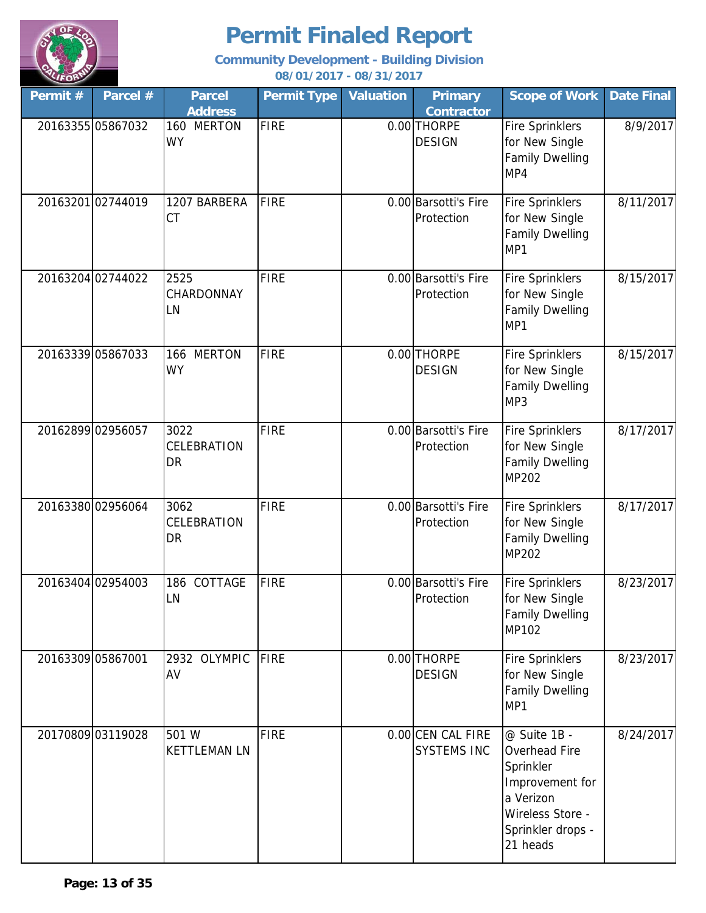

| Permit # | Parcel #          | <b>Parcel</b><br><b>Address</b> | <b>Permit Type</b> | <b>Valuation</b> | <b>Primary</b><br><b>Contractor</b>     | <b>Scope of Work</b>                                                                                                            | <b>Date Final</b> |
|----------|-------------------|---------------------------------|--------------------|------------------|-----------------------------------------|---------------------------------------------------------------------------------------------------------------------------------|-------------------|
|          | 20163355 05867032 | 160 MERTON<br>WY                | <b>FIRE</b>        |                  | 0.00 THORPE<br><b>DESIGN</b>            | <b>Fire Sprinklers</b><br>for New Single<br><b>Family Dwelling</b><br>MP4                                                       | 8/9/2017          |
|          | 2016320102744019  | 1207 BARBERA<br>CT              | FIRE               |                  | 0.00 Barsotti's Fire<br>Protection      | <b>Fire Sprinklers</b><br>for New Single<br><b>Family Dwelling</b><br>MP1                                                       | 8/11/2017         |
|          | 20163204 02744022 | 2525<br>CHARDONNAY<br>LN        | <b>FIRE</b>        |                  | 0.00 Barsotti's Fire<br>Protection      | <b>Fire Sprinklers</b><br>for New Single<br><b>Family Dwelling</b><br>MP1                                                       | 8/15/2017         |
|          | 20163339 05867033 | 166 MERTON<br>WY                | <b>FIRE</b>        |                  | 0.00 THORPE<br><b>DESIGN</b>            | <b>Fire Sprinklers</b><br>for New Single<br><b>Family Dwelling</b><br>MP3                                                       | 8/15/2017         |
|          | 20162899 02956057 | 3022<br>CELEBRATION<br>DR       | <b>FIRE</b>        |                  | 0.00 Barsotti's Fire<br>Protection      | <b>Fire Sprinklers</b><br>for New Single<br><b>Family Dwelling</b><br>MP202                                                     | 8/17/2017         |
|          | 20163380 02956064 | 3062<br>CELEBRATION<br>DR       | <b>FIRE</b>        |                  | 0.00 Barsotti's Fire<br>Protection      | <b>Fire Sprinklers</b><br>for New Single<br>Family Dwelling<br>MP202                                                            | 8/17/2017         |
|          | 20163404 02954003 | 186 COTTAGE<br>LN               | <b>FIRE</b>        |                  | 0.00 Barsotti's Fire<br>Protection      | <b>Fire Sprinklers</b><br>for New Single<br><b>Family Dwelling</b><br>MP102                                                     | 8/23/2017         |
|          | 20163309 05867001 | 2932 OLYMPIC<br>AV              | FIRE               |                  | 0.00 THORPE<br><b>DESIGN</b>            | <b>Fire Sprinklers</b><br>for New Single<br><b>Family Dwelling</b><br>MP1                                                       | 8/23/2017         |
|          | 2017080903119028  | 501 W<br><b>KETTLEMAN LN</b>    | <b>FIRE</b>        |                  | 0.00 CEN CAL FIRE<br><b>SYSTEMS INC</b> | @ Suite 1B -<br>Overhead Fire<br>Sprinkler<br>Improvement for<br>a Verizon<br>Wireless Store -<br>Sprinkler drops -<br>21 heads | 8/24/2017         |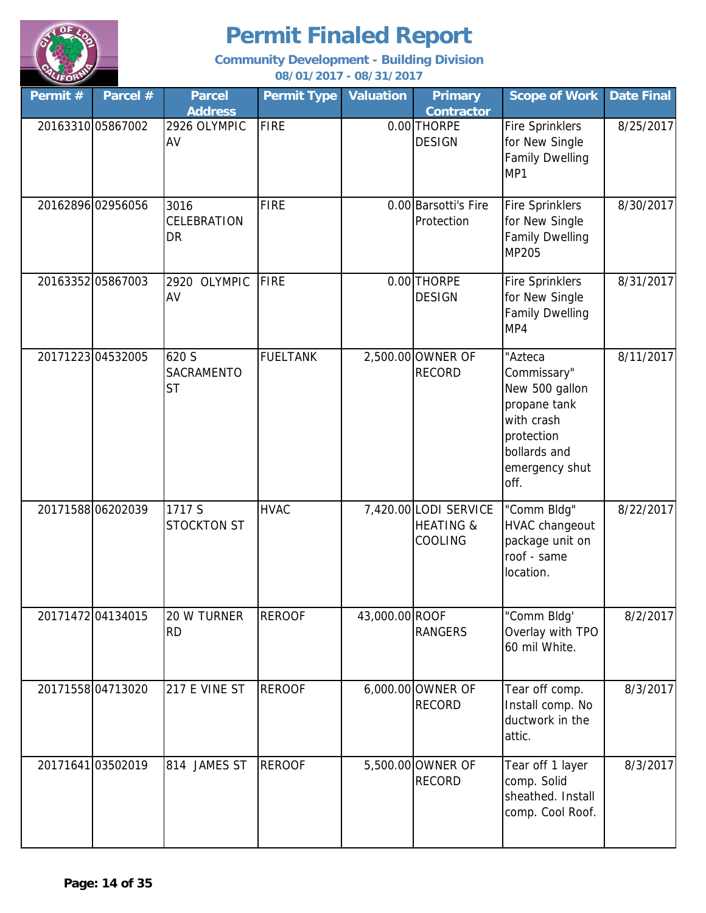

| Permit# | Parcel #          | <b>Parcel</b><br><b>Address</b>  | <b>Permit Type</b> | <b>Valuation</b> | <b>Primary</b><br><b>Contractor</b>                             | <b>Scope of Work</b>                                                                                                           | <b>Date Final</b> |
|---------|-------------------|----------------------------------|--------------------|------------------|-----------------------------------------------------------------|--------------------------------------------------------------------------------------------------------------------------------|-------------------|
|         | 20163310 05867002 | 2926 OLYMPIC<br>AV               | <b>FIRE</b>        |                  | 0.00 THORPE<br><b>DESIGN</b>                                    | <b>Fire Sprinklers</b><br>for New Single<br><b>Family Dwelling</b><br>MP1                                                      | 8/25/2017         |
|         | 20162896 02956056 | 3016<br>CELEBRATION<br>DR        | <b>FIRE</b>        |                  | 0.00 Barsotti's Fire<br>Protection                              | <b>Fire Sprinklers</b><br>for New Single<br><b>Family Dwelling</b><br><b>MP205</b>                                             | 8/30/2017         |
|         | 20163352 05867003 | OLYMPIC<br>2920<br>AV            | FIRE               |                  | 0.00 THORPE<br><b>DESIGN</b>                                    | <b>Fire Sprinklers</b><br>for New Single<br><b>Family Dwelling</b><br>MP4                                                      | 8/31/2017         |
|         | 20171223 04532005 | 620 S<br>SACRAMENTO<br><b>ST</b> | <b>FUELTANK</b>    |                  | 2,500.00 OWNER OF<br><b>RECORD</b>                              | "Azteca<br>Commissary"<br>New 500 gallon<br>propane tank<br>with crash<br>protection<br>bollards and<br>emergency shut<br>off. | 8/11/2017         |
|         | 2017158806202039  | 1717 S<br><b>STOCKTON ST</b>     | <b>HVAC</b>        |                  | 7,420.00 LODI SERVICE<br><b>HEATING &amp;</b><br><b>COOLING</b> | "Comm Bldg"<br><b>HVAC changeout</b><br>package unit on<br>roof - same<br>location.                                            | 8/22/2017         |
|         | 2017147204134015  | 20 W TURNER<br><b>RD</b>         | <b>REROOF</b>      | 43,000.00 ROOF   | <b>RANGERS</b>                                                  | "Comm Bldg'<br>Overlay with TPO<br>60 mil White.                                                                               | 8/2/2017          |
|         | 2017155804713020  | 217 E VINE ST                    | <b>REROOF</b>      |                  | 6,000.00 OWNER OF<br><b>RECORD</b>                              | Tear off comp.<br>Install comp. No<br>ductwork in the<br>attic.                                                                | 8/3/2017          |
|         | 20171641 03502019 | 814 JAMES ST                     | <b>REROOF</b>      |                  | 5,500.00 OWNER OF<br><b>RECORD</b>                              | Tear off 1 layer<br>comp. Solid<br>sheathed. Install<br>comp. Cool Roof.                                                       | 8/3/2017          |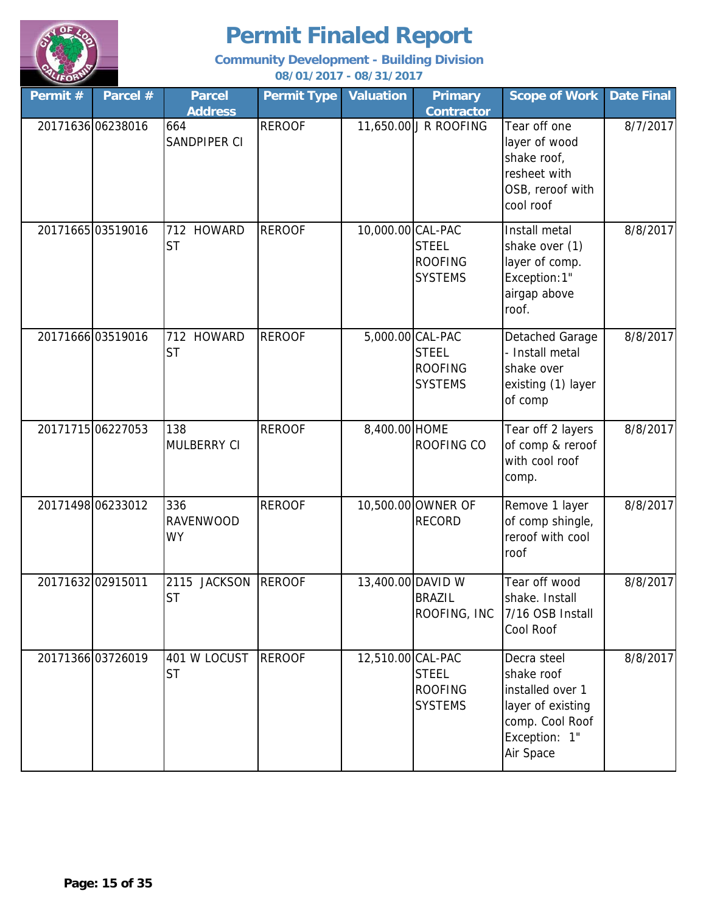

| Permit #          | Parcel #          | <b>Parcel</b><br><b>Address</b>      | <b>Permit Type</b> | <b>Valuation</b>  | <b>Primary</b><br><b>Contractor</b>                                  | <b>Scope of Work</b>                                                                                                | <b>Date Final</b> |
|-------------------|-------------------|--------------------------------------|--------------------|-------------------|----------------------------------------------------------------------|---------------------------------------------------------------------------------------------------------------------|-------------------|
|                   | 20171636 06238016 | 664<br>SANDPIPER CI                  | <b>REROOF</b>      |                   | 11,650.00 J R ROOFING                                                | Tear off one<br>layer of wood<br>shake roof,<br>resheet with<br>OSB, reroof with<br>cool roof                       | 8/7/2017          |
|                   | 2017166503519016  | 712 HOWARD<br><b>ST</b>              | <b>REROOF</b>      | 10,000.00 CAL-PAC | <b>STEEL</b><br><b>ROOFING</b><br><b>SYSTEMS</b>                     | Install metal<br>shake over (1)<br>layer of comp.<br>Exception: 1"<br>airgap above<br>roof.                         | 8/8/2017          |
|                   | 20171666 03519016 | 712 HOWARD<br><b>ST</b>              | <b>REROOF</b>      |                   | 5,000.00 CAL-PAC<br><b>STEEL</b><br><b>ROOFING</b><br><b>SYSTEMS</b> | Detached Garage<br>- Install metal<br>shake over<br>existing (1) layer<br>of comp                                   | 8/8/2017          |
|                   | 20171715 06227053 | 138<br>MULBERRY CI                   | <b>REROOF</b>      | 8,400.00 HOME     | ROOFING CO                                                           | Tear off 2 layers<br>of comp & reroof<br>with cool roof<br>comp.                                                    | 8/8/2017          |
|                   | 20171498 06233012 | 336<br><b>RAVENWOOD</b><br><b>WY</b> | <b>REROOF</b>      |                   | 10,500.00 OWNER OF<br><b>RECORD</b>                                  | Remove 1 layer<br>of comp shingle,<br>reroof with cool<br>roof                                                      | 8/8/2017          |
| 20171632 02915011 |                   | 2115 JACKSON<br><b>ST</b>            | <b>REROOF</b>      | 13,400.00 DAVID W | <b>BRAZIL</b><br>ROOFING, INC                                        | Tear off wood<br>shake. Install<br>7/16 OSB Install<br>Cool Roof                                                    | 8/8/2017          |
|                   | 2017136603726019  | 401 W LOCUST<br><b>ST</b>            | <b>REROOF</b>      | 12,510.00 CAL-PAC | <b>STEEL</b><br><b>ROOFING</b><br><b>SYSTEMS</b>                     | Decra steel<br>shake roof<br>installed over 1<br>layer of existing<br>comp. Cool Roof<br>Exception: 1"<br>Air Space | 8/8/2017          |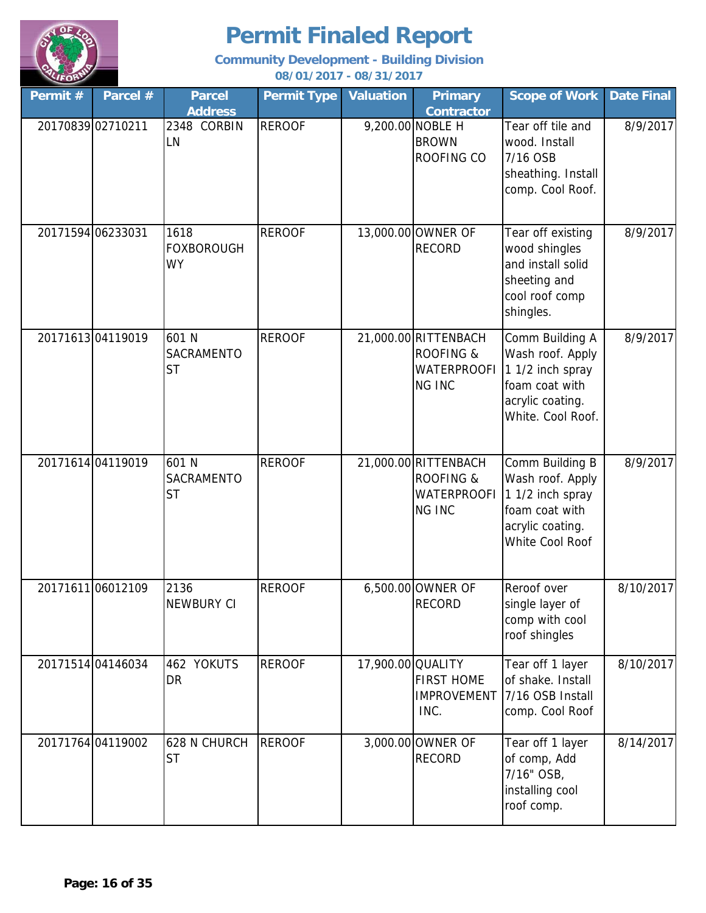

| Permit #          | Parcel #          | <b>Parcel</b><br><b>Address</b>  | <b>Permit Type</b> | <b>Valuation</b>  | <b>Primary</b><br><b>Contractor</b>                                                 | <b>Scope of Work</b>                                                                                                     | <b>Date Final</b> |
|-------------------|-------------------|----------------------------------|--------------------|-------------------|-------------------------------------------------------------------------------------|--------------------------------------------------------------------------------------------------------------------------|-------------------|
|                   | 20170839 02710211 | 2348 CORBIN<br>LN                | <b>REROOF</b>      |                   | 9,200.00 NOBLE H<br><b>BROWN</b><br>ROOFING CO                                      | Tear off tile and<br>wood. Install<br>7/16 OSB<br>sheathing. Install<br>comp. Cool Roof.                                 | 8/9/2017          |
| 20171594 06233031 |                   | 1618<br><b>FOXBOROUGH</b><br>WY  | <b>REROOF</b>      |                   | 13,000.00 OWNER OF<br><b>RECORD</b>                                                 | Tear off existing<br>wood shingles<br>and install solid<br>sheeting and<br>cool roof comp<br>shingles.                   | 8/9/2017          |
|                   | 2017161304119019  | 601 N<br>SACRAMENTO<br><b>ST</b> | <b>REROOF</b>      |                   | 21,000.00 RITTENBACH<br><b>ROOFING &amp;</b><br><b>WATERPROOFI</b><br><b>NG INC</b> | Comm Building A<br>Wash roof. Apply<br>$11/2$ inch spray<br>foam coat with<br>acrylic coating.<br>White. Cool Roof.      | 8/9/2017          |
|                   | 20171614 04119019 | 601 N<br>SACRAMENTO<br><b>ST</b> | <b>REROOF</b>      |                   | 21,000.00 RITTENBACH<br><b>ROOFING &amp;</b><br><b>WATERPROOFI</b><br><b>NG INC</b> | Comm Building B<br>Wash roof. Apply<br>$11/2$ inch spray<br>foam coat with<br>acrylic coating.<br><b>White Cool Roof</b> | 8/9/2017          |
|                   | 20171611 06012109 | 2136<br>NEWBURY CI               | <b>REROOF</b>      |                   | 6,500.00 OWNER OF<br><b>RECORD</b>                                                  | Reroof over<br>single layer of<br>comp with cool<br>roof shingles                                                        | 8/10/2017         |
|                   | 20171514 04146034 | 462 YOKUTS<br>DR                 | <b>REROOF</b>      | 17,900.00 QUALITY | <b>FIRST HOME</b><br><b>IMPROVEMENT</b><br>INC.                                     | Tear off 1 layer<br>of shake. Install<br>7/16 OSB Install<br>comp. Cool Roof                                             | 8/10/2017         |
|                   | 20171764 04119002 | 628 N CHURCH<br>ST               | <b>REROOF</b>      |                   | 3,000.00 OWNER OF<br><b>RECORD</b>                                                  | Tear off 1 layer<br>of comp, Add<br>7/16" OSB,<br>installing cool<br>roof comp.                                          | 8/14/2017         |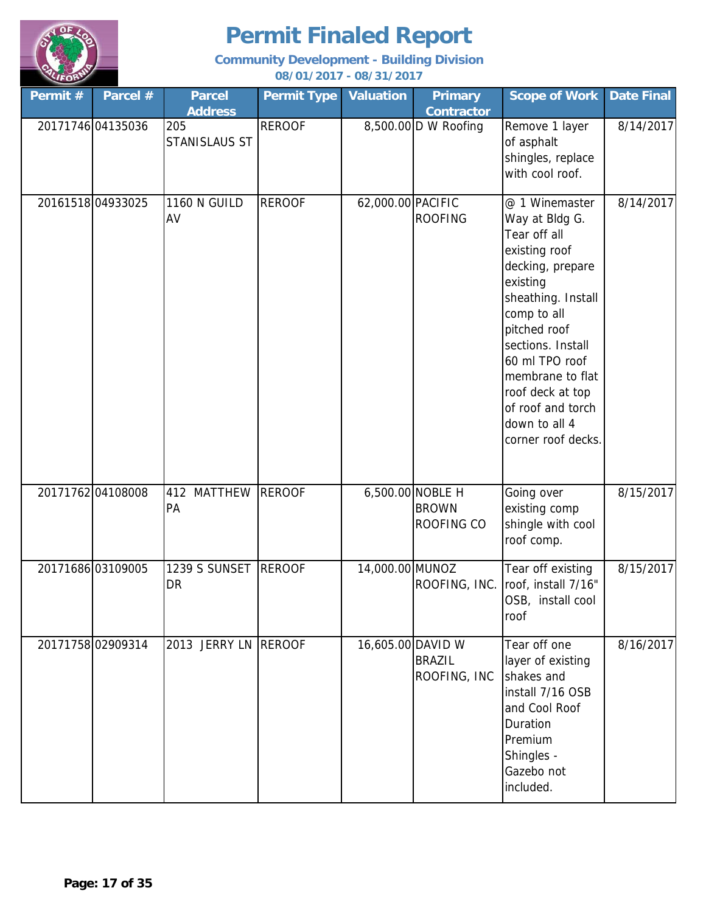

| Permit # | Parcel #          | <b>Parcel</b><br><b>Address</b> | <b>Permit Type</b> | <b>Valuation</b>  | <b>Primary</b><br><b>Contractor</b>            | <b>Scope of Work</b>                                                                                                                                                                                                                                                                              | <b>Date Final</b> |
|----------|-------------------|---------------------------------|--------------------|-------------------|------------------------------------------------|---------------------------------------------------------------------------------------------------------------------------------------------------------------------------------------------------------------------------------------------------------------------------------------------------|-------------------|
|          | 20171746 04135036 | 205<br>STANISLAUS ST            | <b>REROOF</b>      |                   | 8,500.00 D W Roofing                           | Remove 1 layer<br>of asphalt<br>shingles, replace<br>with cool roof.                                                                                                                                                                                                                              | 8/14/2017         |
|          | 2016151804933025  | <b>1160 N GUILD</b><br>AV       | <b>REROOF</b>      | 62,000.00 PACIFIC | <b>ROOFING</b>                                 | @ 1 Winemaster<br>Way at Bldg G.<br>Tear off all<br>existing roof<br>decking, prepare<br>existing<br>sheathing. Install<br>comp to all<br>pitched roof<br>sections. Install<br>60 ml TPO roof<br>membrane to flat<br>roof deck at top<br>of roof and torch<br>down to all 4<br>corner roof decks. | 8/14/2017         |
|          | 20171762 04108008 | 412 MATTHEW<br>PA               | <b>REROOF</b>      |                   | 6,500.00 NOBLE H<br><b>BROWN</b><br>ROOFING CO | Going over<br>existing comp<br>shingle with cool<br>roof comp.                                                                                                                                                                                                                                    | 8/15/2017         |
|          | 20171686 03109005 | 1239 S SUNSET<br>DR             | <b>REROOF</b>      | 14,000.00 MUNOZ   | ROOFING, INC.                                  | Tear off existing<br>roof, install 7/16"<br>OSB, install cool<br>roof                                                                                                                                                                                                                             | 8/15/2017         |
|          | 20171758 02909314 | 2013 JERRY LN REROOF            |                    | 16,605.00 DAVID W | <b>BRAZIL</b><br>ROOFING, INC                  | Tear off one<br>layer of existing<br>shakes and<br>install 7/16 OSB<br>and Cool Roof<br>Duration<br>Premium<br>Shingles -<br>Gazebo not<br>included.                                                                                                                                              | 8/16/2017         |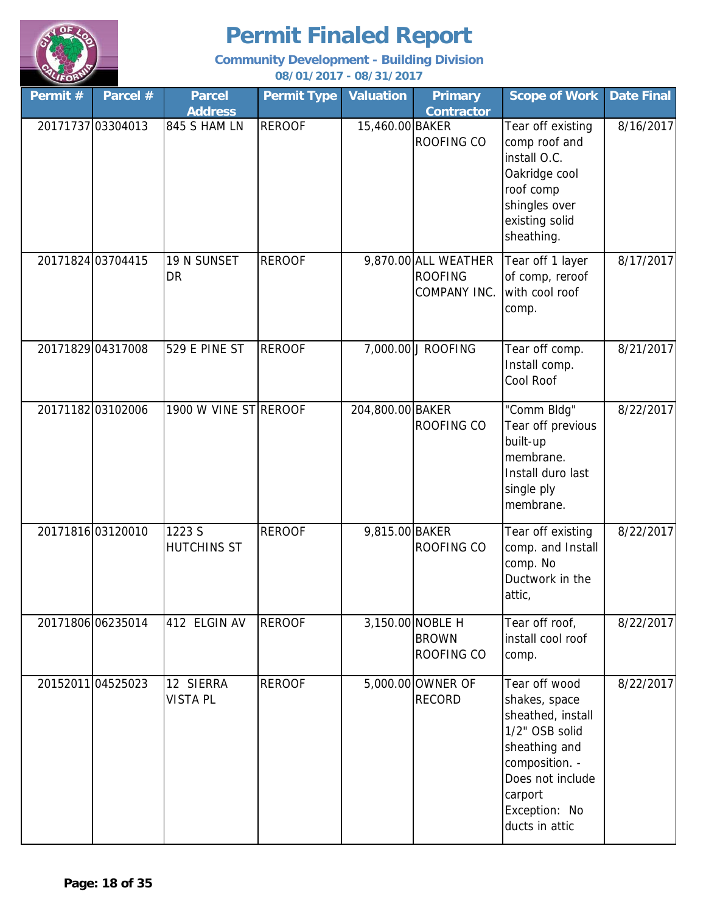

| Permit #         | Parcel #          | <b>Parcel</b><br><b>Address</b> | <b>Permit Type</b> | <b>Valuation</b> | <b>Primary</b><br><b>Contractor</b>                    | <b>Scope of Work</b>                                                                                                                                                       | <b>Date Final</b> |
|------------------|-------------------|---------------------------------|--------------------|------------------|--------------------------------------------------------|----------------------------------------------------------------------------------------------------------------------------------------------------------------------------|-------------------|
|                  | 20171737 03304013 | 845 S HAM LN                    | <b>REROOF</b>      | 15,460.00 BAKER  | ROOFING CO                                             | Tear off existing<br>comp roof and<br>install O.C.<br>Oakridge cool<br>roof comp<br>shingles over<br>existing solid<br>sheathing.                                          | 8/16/2017         |
|                  | 20171824 03704415 | 19 N SUNSET<br>DR               | <b>REROOF</b>      |                  | 9,870.00 ALL WEATHER<br><b>ROOFING</b><br>COMPANY INC. | Tear off 1 layer<br>of comp, reroof<br>with cool roof<br>comp.                                                                                                             | 8/17/2017         |
|                  | 20171829 04317008 | 529 E PINE ST                   | <b>REROOF</b>      |                  | 7,000.00 J ROOFING                                     | Tear off comp.<br>Install comp.<br>Cool Roof                                                                                                                               | 8/21/2017         |
| 2017118203102006 |                   | 1900 W VINE STREROOF            |                    | 204,800.00 BAKER | ROOFING CO                                             | "Comm Bldg"<br>Tear off previous<br>built-up<br>membrane.<br>Install duro last<br>single ply<br>membrane.                                                                  | 8/22/2017         |
|                  | 2017181603120010  | 1223 S<br><b>HUTCHINS ST</b>    | <b>REROOF</b>      | 9,815.00 BAKER   | <b>ROOFING CO</b>                                      | Tear off existing<br>comp. and Install<br>comp. No<br>Ductwork in the<br>attic,                                                                                            | 8/22/2017         |
|                  | 20171806 06235014 | 412 ELGIN AV                    | <b>REROOF</b>      |                  | 3,150.00 NOBLE H<br><b>BROWN</b><br>ROOFING CO         | Tear off roof,<br>install cool roof<br>comp.                                                                                                                               | 8/22/2017         |
|                  | 20152011 04525023 | 12 SIERRA<br><b>VISTA PL</b>    | <b>REROOF</b>      |                  | 5,000.00 OWNER OF<br><b>RECORD</b>                     | Tear off wood<br>shakes, space<br>sheathed, install<br>1/2" OSB solid<br>sheathing and<br>composition. -<br>Does not include<br>carport<br>Exception: No<br>ducts in attic | 8/22/2017         |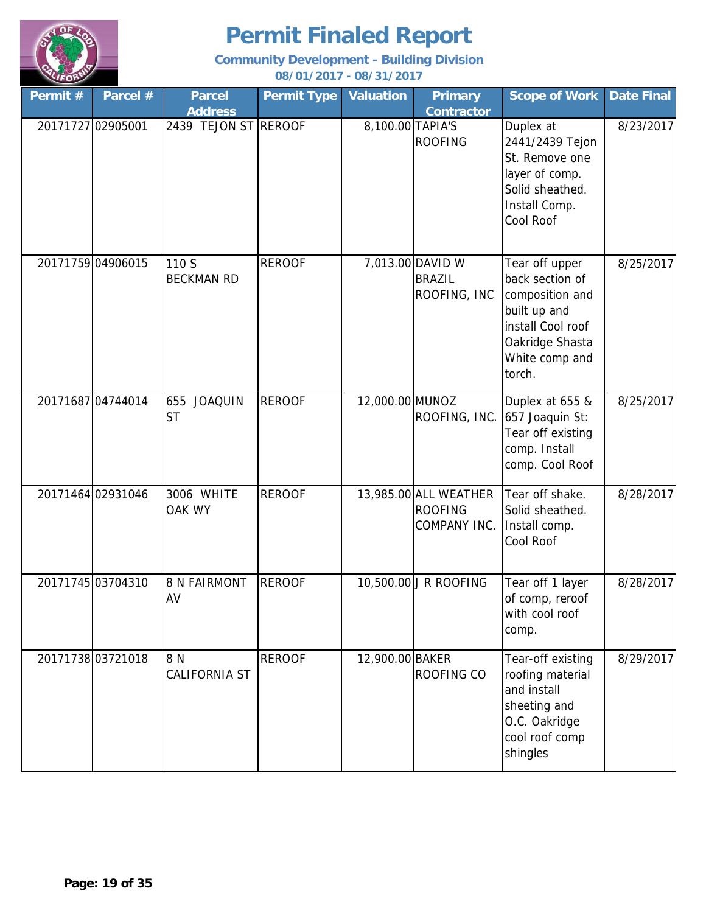

| Permit# | Parcel #          | <b>Parcel</b><br><b>Address</b> | <b>Permit Type</b> | <b>Valuation</b> | <b>Primary</b><br><b>Contractor</b>                     | <b>Scope of Work</b>                                                                                                                     | <b>Date Final</b> |
|---------|-------------------|---------------------------------|--------------------|------------------|---------------------------------------------------------|------------------------------------------------------------------------------------------------------------------------------------------|-------------------|
|         | 20171727 02905001 | 2439 TEJON ST REROOF            |                    | 8,100.00 TAPIA'S | <b>ROOFING</b>                                          | Duplex at<br>2441/2439 Tejon<br>St. Remove one<br>layer of comp.<br>Solid sheathed.<br>Install Comp.<br>Cool Roof                        | 8/23/2017         |
|         | 20171759 04906015 | 110 S<br><b>BECKMAN RD</b>      | <b>REROOF</b>      |                  | 7,013.00 DAVID W<br><b>BRAZIL</b><br>ROOFING, INC       | Tear off upper<br>back section of<br>composition and<br>built up and<br>install Cool roof<br>Oakridge Shasta<br>White comp and<br>torch. | 8/25/2017         |
|         | 20171687 04744014 | 655 JOAQUIN<br><b>ST</b>        | <b>REROOF</b>      | 12,000.00 MUNOZ  | ROOFING, INC.                                           | Duplex at 655 &<br>657 Joaquin St:<br>Tear off existing<br>comp. Install<br>comp. Cool Roof                                              | 8/25/2017         |
|         | 20171464 02931046 | 3006 WHITE<br>OAK WY            | <b>REROOF</b>      |                  | 13,985.00 ALL WEATHER<br><b>ROOFING</b><br>COMPANY INC. | Tear off shake.<br>Solid sheathed.<br>Install comp.<br>Cool Roof                                                                         | 8/28/2017         |
|         | 20171745 03704310 | <b>8 N FAIRMONT</b><br>AV       | <b>REROOF</b>      |                  | 10,500.00 J R ROOFING                                   | Tear off 1 layer<br>of comp, reroof<br>with cool roof<br>comp.                                                                           | 8/28/2017         |
|         | 20171738 03721018 | 8 N<br><b>CALIFORNIA ST</b>     | <b>REROOF</b>      | 12,900.00 BAKER  | ROOFING CO                                              | Tear-off existing<br>roofing material<br>and install<br>sheeting and<br>O.C. Oakridge<br>cool roof comp<br>shingles                      | 8/29/2017         |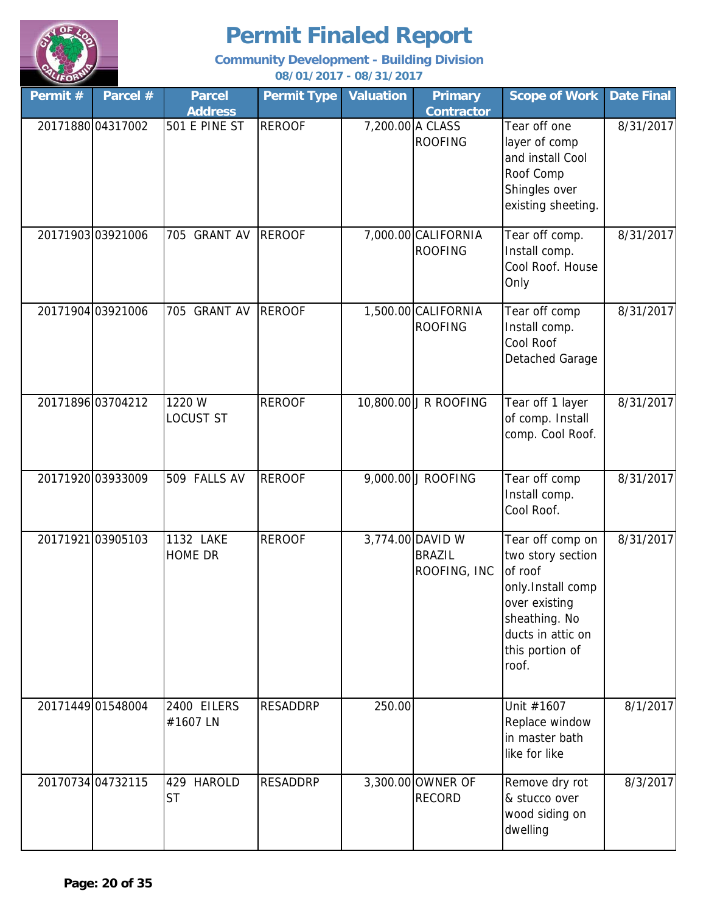

| Permit # | Parcel #          | <b>Parcel</b><br><b>Address</b> | <b>Permit Type</b> | <b>Valuation</b> | <b>Primary</b><br><b>Contractor</b>               | <b>Scope of Work</b>                                                                                                                                     | <b>Date Final</b> |
|----------|-------------------|---------------------------------|--------------------|------------------|---------------------------------------------------|----------------------------------------------------------------------------------------------------------------------------------------------------------|-------------------|
|          | 20171880 04317002 | 501 E PINE ST                   | <b>REROOF</b>      |                  | 7,200.00 A CLASS<br><b>ROOFING</b>                | Tear off one<br>layer of comp<br>and install Cool<br>Roof Comp<br>Shingles over<br>existing sheeting.                                                    | 8/31/2017         |
|          | 2017190303921006  | 705 GRANT AV                    | <b>REROOF</b>      |                  | 7,000.00 CALIFORNIA<br><b>ROOFING</b>             | Tear off comp.<br>Install comp.<br>Cool Roof. House<br>Only                                                                                              | 8/31/2017         |
|          | 20171904 03921006 | 705 GRANT AV                    | <b>REROOF</b>      |                  | 1,500.00 CALIFORNIA<br><b>ROOFING</b>             | Tear off comp<br>Install comp.<br>Cool Roof<br>Detached Garage                                                                                           | 8/31/2017         |
|          | 20171896 03704212 | 1220 W<br><b>LOCUST ST</b>      | <b>REROOF</b>      |                  | 10,800.00 J R ROOFING                             | Tear off 1 layer<br>of comp. Install<br>comp. Cool Roof.                                                                                                 | 8/31/2017         |
|          | 20171920 03933009 | 509 FALLS AV                    | <b>REROOF</b>      |                  | 9,000.00 J ROOFING                                | Tear off comp<br>Install comp.<br>Cool Roof.                                                                                                             | 8/31/2017         |
|          | 2017192103905103  | 1132 LAKE<br><b>HOME DR</b>     | <b>REROOF</b>      |                  | 3,774.00 DAVID W<br><b>BRAZIL</b><br>ROOFING, INC | Tear off comp on<br>two story section<br>of roof<br>only.Install comp<br>over existing<br>sheathing. No<br>ducts in attic on<br>this portion of<br>roof. | 8/31/2017         |
|          | 2017144901548004  | 2400 EILERS<br>#1607 LN         | <b>RESADDRP</b>    | 250.00           |                                                   | Unit #1607<br>Replace window<br>in master bath<br>like for like                                                                                          | 8/1/2017          |
|          | 20170734 04732115 | 429 HAROLD<br><b>ST</b>         | <b>RESADDRP</b>    |                  | 3,300.00 OWNER OF<br><b>RECORD</b>                | Remove dry rot<br>& stucco over<br>wood siding on<br>dwelling                                                                                            | 8/3/2017          |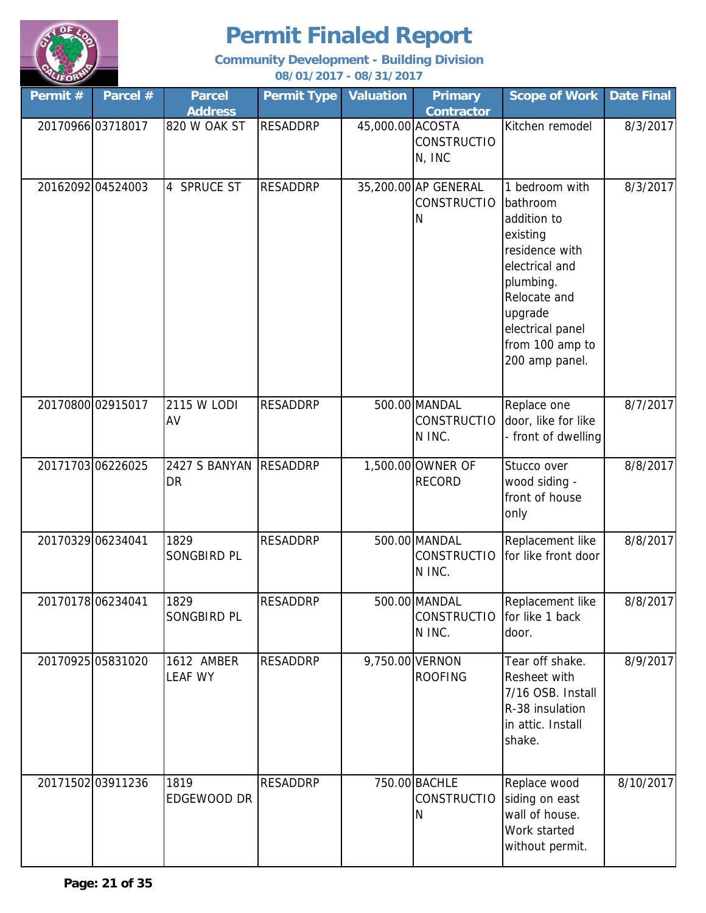

| Permit#           | Parcel #          | <b>Parcel</b><br><b>Address</b> | <b>Permit Type</b> | <b>Valuation</b> | <b>Primary</b><br><b>Contractor</b>             | <b>Scope of Work</b>                                                                                                                                                                       | <b>Date Final</b> |
|-------------------|-------------------|---------------------------------|--------------------|------------------|-------------------------------------------------|--------------------------------------------------------------------------------------------------------------------------------------------------------------------------------------------|-------------------|
| 20170966 03718017 |                   | 820 W OAK ST                    | <b>RESADDRP</b>    | 45,000.00 ACOSTA | <b>CONSTRUCTIO</b><br>N, INC                    | Kitchen remodel                                                                                                                                                                            | 8/3/2017          |
|                   | 20162092 04524003 | 4 SPRUCE ST                     | <b>RESADDRP</b>    |                  | 35,200.00 AP GENERAL<br><b>CONSTRUCTIO</b><br>N | 1 bedroom with<br>bathroom<br>addition to<br>existing<br>residence with<br>electrical and<br>plumbing.<br>Relocate and<br>upgrade<br>electrical panel<br>from 100 amp to<br>200 amp panel. | 8/3/2017          |
|                   | 2017080002915017  | 2115 W LODI<br>AV               | <b>RESADDRP</b>    |                  | 500.00 MANDAL<br><b>CONSTRUCTIO</b><br>N INC.   | Replace one<br>door, like for like<br>- front of dwelling                                                                                                                                  | 8/7/2017          |
|                   | 2017170306226025  | 2427 S BANYAN<br>DR             | <b>RESADDRP</b>    |                  | 1,500.00 OWNER OF<br><b>RECORD</b>              | Stucco over<br>wood siding -<br>front of house<br>only                                                                                                                                     | 8/8/2017          |
| 20170329 06234041 |                   | 1829<br>SONGBIRD PL             | <b>RESADDRP</b>    |                  | 500.00 MANDAL<br><b>CONSTRUCTIO</b><br>N INC.   | Replacement like<br>for like front door                                                                                                                                                    | 8/8/2017          |
|                   | 20170178 06234041 | 1829<br>SONGBIRD PL             | <b>RESADDRP</b>    |                  | 500.00 MANDAL<br><b>CONSTRUCTIO</b><br>N INC.   | Replacement like<br>for like 1 back<br>door.                                                                                                                                               | 8/8/2017          |
|                   | 20170925 05831020 | 1612 AMBER<br><b>LEAF WY</b>    | <b>RESADDRP</b>    |                  | 9,750.00 VERNON<br><b>ROOFING</b>               | Tear off shake.<br>Resheet with<br>7/16 OSB. Install<br>R-38 insulation<br>in attic. Install<br>shake.                                                                                     | 8/9/2017          |
|                   | 20171502 03911236 | 1819<br>EDGEWOOD DR             | <b>RESADDRP</b>    |                  | 750.00 BACHLE<br><b>CONSTRUCTIO</b><br>N        | Replace wood<br>siding on east<br>wall of house.<br>Work started<br>without permit.                                                                                                        | 8/10/2017         |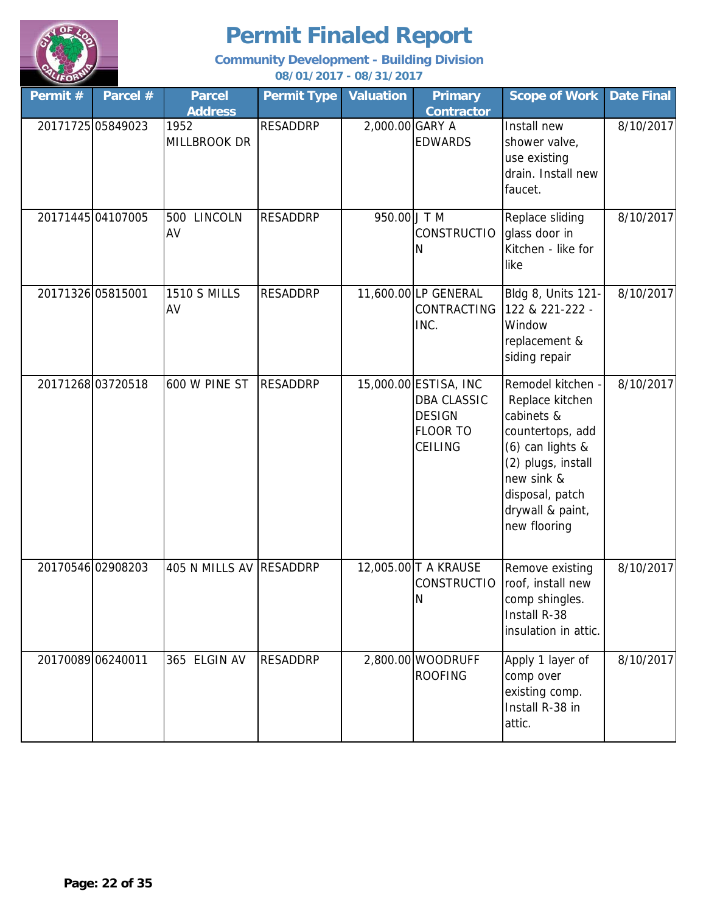

| Permit # | Parcel #          | <b>Parcel</b><br><b>Address</b> | <b>Permit Type</b> | <b>Valuation</b> | <b>Primary</b><br>Contractor                                                                      | <b>Scope of Work</b>                                                                                                                                                                  | <b>Date Final</b> |
|----------|-------------------|---------------------------------|--------------------|------------------|---------------------------------------------------------------------------------------------------|---------------------------------------------------------------------------------------------------------------------------------------------------------------------------------------|-------------------|
|          | 20171725 05849023 | 1952<br>MILLBROOK DR            | <b>RESADDRP</b>    | 2,000.00 GARY A  | <b>EDWARDS</b>                                                                                    | Install new<br>shower valve,<br>use existing<br>drain. Install new<br>faucet.                                                                                                         | 8/10/2017         |
|          | 20171445 04107005 | 500 LINCOLN<br>AV               | <b>RESADDRP</b>    | 950.00 J T M     | <b>CONSTRUCTIO</b><br>N                                                                           | Replace sliding<br>glass door in<br>Kitchen - like for<br>like                                                                                                                        | 8/10/2017         |
|          | 20171326 05815001 | <b>1510 S MILLS</b><br>AV       | <b>RESADDRP</b>    |                  | 11,600.00 LP GENERAL<br>CONTRACTING<br>INC.                                                       | Bldg 8, Units 121-<br>122 & 221-222 -<br>Window<br>replacement &<br>siding repair                                                                                                     | 8/10/2017         |
|          | 2017126803720518  | 600 W PINE ST                   | <b>RESADDRP</b>    |                  | 15,000.00 ESTISA, INC<br><b>DBA CLASSIC</b><br><b>DESIGN</b><br><b>FLOOR TO</b><br><b>CEILING</b> | Remodel kitchen -<br>Replace kitchen<br>cabinets &<br>countertops, add<br>(6) can lights &<br>(2) plugs, install<br>new sink &<br>disposal, patch<br>drywall & paint,<br>new flooring | 8/10/2017         |
|          | 20170546 02908203 | 405 N MILLS AV RESADDRP         |                    |                  | 12,005.00 T A KRAUSE<br><b>CONSTRUCTIO</b><br>N                                                   | Remove existing<br>roof, install new<br>comp shingles.<br>Install R-38<br>insulation in attic.                                                                                        | 8/10/2017         |
|          | 20170089 06240011 | 365 ELGIN AV                    | <b>RESADDRP</b>    |                  | 2,800.00 WOODRUFF<br><b>ROOFING</b>                                                               | Apply 1 layer of<br>comp over<br>existing comp.<br>Install R-38 in<br>attic.                                                                                                          | 8/10/2017         |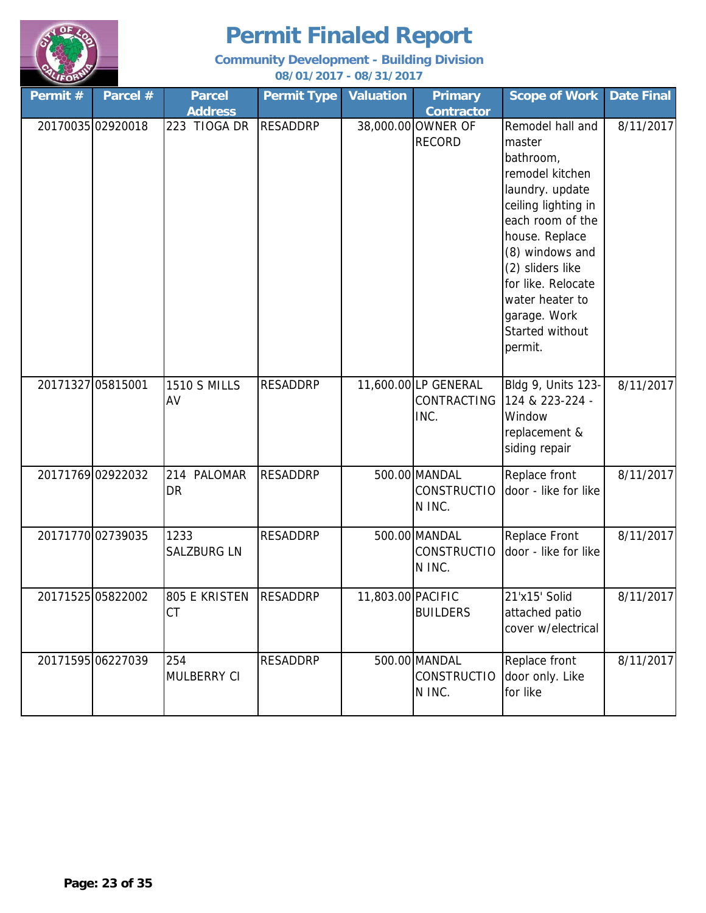

| Permit #          | Parcel #          | <b>Parcel</b><br><b>Address</b> | <b>Permit Type</b> | <b>Valuation</b>  | <b>Primary</b><br><b>Contractor</b>           | <b>Scope of Work</b>                                                                                                                                                                                                                                                     | <b>Date Final</b> |
|-------------------|-------------------|---------------------------------|--------------------|-------------------|-----------------------------------------------|--------------------------------------------------------------------------------------------------------------------------------------------------------------------------------------------------------------------------------------------------------------------------|-------------------|
|                   | 20170035 02920018 | 223 TIOGA DR                    | <b>RESADDRP</b>    |                   | 38,000.00 OWNER OF<br><b>RECORD</b>           | Remodel hall and<br>master<br>bathroom,<br>remodel kitchen<br>laundry. update<br>ceiling lighting in<br>each room of the<br>house. Replace<br>(8) windows and<br>(2) sliders like<br>for like. Relocate<br>water heater to<br>garage. Work<br>Started without<br>permit. | 8/11/2017         |
| 20171327 05815001 |                   | <b>1510 S MILLS</b><br>AV       | <b>RESADDRP</b>    |                   | 11,600.00 LP GENERAL<br>CONTRACTING<br>INC.   | Bldg 9, Units 123-<br>124 & 223-224 -<br>Window<br>replacement &<br>siding repair                                                                                                                                                                                        | 8/11/2017         |
|                   | 20171769 02922032 | PALOMAR<br>214<br>DR            | <b>RESADDRP</b>    |                   | 500.00 MANDAL<br><b>CONSTRUCTIO</b><br>N INC. | Replace front<br>door - like for like                                                                                                                                                                                                                                    | 8/11/2017         |
|                   | 20171770 02739035 | 1233<br><b>SALZBURG LN</b>      | <b>RESADDRP</b>    |                   | 500.00 MANDAL<br><b>CONSTRUCTIO</b><br>N INC. | <b>Replace Front</b><br>door - like for like                                                                                                                                                                                                                             | 8/11/2017         |
|                   | 20171525 05822002 | 805 E KRISTEN<br>CT             | <b>RESADDRP</b>    | 11,803.00 PACIFIC | <b>BUILDERS</b>                               | 21'x15' Solid<br>attached patio<br>cover w/electrical                                                                                                                                                                                                                    | 8/11/2017         |
|                   | 20171595 06227039 | 254<br>MULBERRY CI              | <b>RESADDRP</b>    |                   | 500.00 MANDAL<br>CONSTRUCTIO<br>N INC.        | Replace front<br>door only. Like<br>for like                                                                                                                                                                                                                             | 8/11/2017         |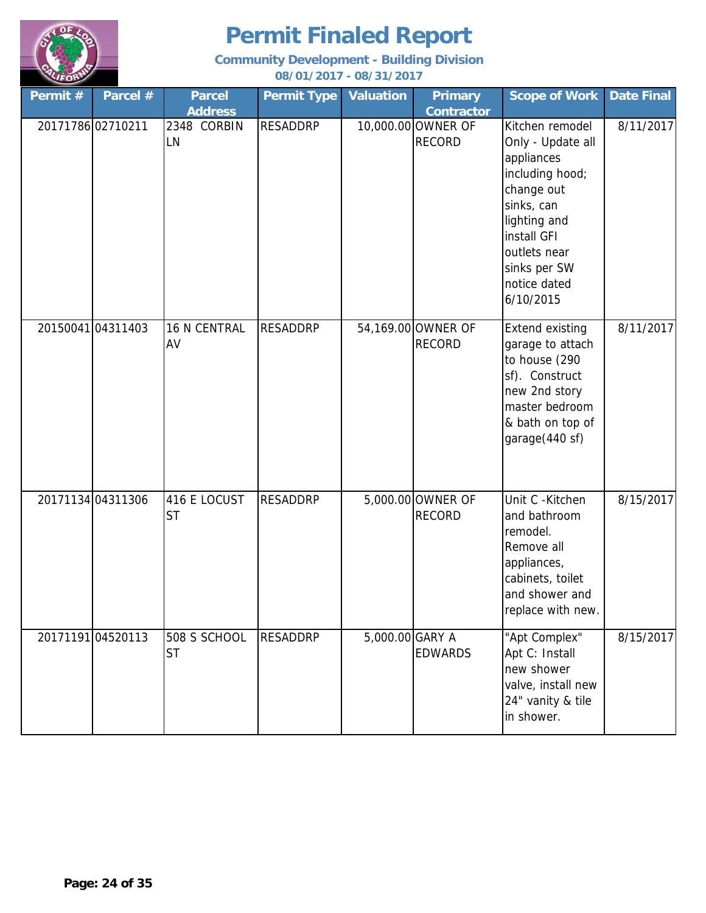

| Permit #          | Parcel #          | <b>Parcel</b><br><b>Address</b> | <b>Permit Type</b> | <b>Valuation</b> | <b>Primary</b><br><b>Contractor</b> | <b>Scope of Work</b>                                                                                                                                                                          | <b>Date Final</b> |
|-------------------|-------------------|---------------------------------|--------------------|------------------|-------------------------------------|-----------------------------------------------------------------------------------------------------------------------------------------------------------------------------------------------|-------------------|
| 20171786 02710211 |                   | 2348 CORBIN<br>LN               | <b>RESADDRP</b>    |                  | 10,000.00 OWNER OF<br><b>RECORD</b> | Kitchen remodel<br>Only - Update all<br>appliances<br>including hood;<br>change out<br>sinks, can<br>lighting and<br>install GFI<br>outlets near<br>sinks per SW<br>notice dated<br>6/10/2015 | 8/11/2017         |
|                   | 20150041 04311403 | 16 N CENTRAL<br>AV              | <b>RESADDRP</b>    |                  | 54,169.00 OWNER OF<br><b>RECORD</b> | <b>Extend existing</b><br>garage to attach<br>to house (290<br>sf). Construct<br>new 2nd story<br>master bedroom<br>& bath on top of<br>garage(440 sf)                                        | 8/11/2017         |
| 20171134 04311306 |                   | 416 E LOCUST<br><b>ST</b>       | <b>RESADDRP</b>    |                  | 5,000.00 OWNER OF<br><b>RECORD</b>  | Unit C - Kitchen<br>and bathroom<br>remodel.<br>Remove all<br>appliances,<br>cabinets, toilet<br>and shower and<br>replace with new.                                                          | 8/15/2017         |
|                   | 2017119104520113  | 508 S SCHOOL<br><b>ST</b>       | <b>RESADDRP</b>    | 5,000.00 GARY A  | <b>EDWARDS</b>                      | "Apt Complex"<br>Apt C: Install<br>new shower<br>valve, install new<br>24" vanity & tile<br>in shower.                                                                                        | 8/15/2017         |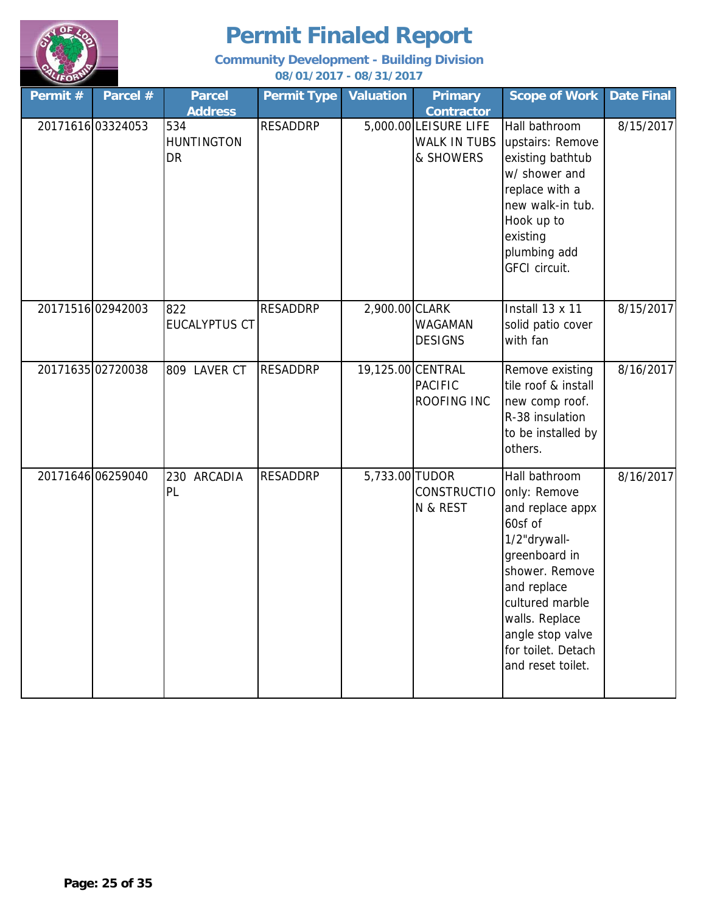

| Permit# | Parcel #          | <b>Parcel</b><br><b>Address</b> | <b>Permit Type</b> | <b>Valuation</b>  | <b>Primary</b><br><b>Contractor</b>                       | <b>Scope of Work</b>                                                                                                                                                                                                               | <b>Date Final</b> |
|---------|-------------------|---------------------------------|--------------------|-------------------|-----------------------------------------------------------|------------------------------------------------------------------------------------------------------------------------------------------------------------------------------------------------------------------------------------|-------------------|
|         | 20171616 03324053 | 534<br><b>HUNTINGTON</b><br>DR  | <b>RESADDRP</b>    |                   | 5,000.00 LEISURE LIFE<br><b>WALK IN TUBS</b><br>& SHOWERS | Hall bathroom<br>upstairs: Remove<br>existing bathtub<br>w/ shower and<br>replace with a<br>new walk-in tub.<br>Hook up to<br>existing<br>plumbing add<br>GFCI circuit.                                                            | 8/15/2017         |
|         | 2017151602942003  | 822<br><b>EUCALYPTUS CT</b>     | <b>RESADDRP</b>    | 2,900.00 CLARK    | WAGAMAN<br><b>DESIGNS</b>                                 | Install 13 x 11<br>solid patio cover<br>with fan                                                                                                                                                                                   | 8/15/2017         |
|         | 20171635 02720038 | 809 LAVER CT                    | <b>RESADDRP</b>    | 19,125.00 CENTRAL | <b>PACIFIC</b><br>ROOFING INC                             | Remove existing<br>tile roof & install<br>new comp roof.<br>R-38 insulation<br>to be installed by<br>others.                                                                                                                       | 8/16/2017         |
|         | 20171646 06259040 | 230 ARCADIA<br><b>PL</b>        | <b>RESADDRP</b>    | 5,733.00 TUDOR    | <b>CONSTRUCTIO</b><br>N & REST                            | Hall bathroom<br>only: Remove<br>and replace appx<br>60sf of<br>1/2"drywall-<br>greenboard in<br>shower. Remove<br>and replace<br>cultured marble<br>walls. Replace<br>angle stop valve<br>for toilet. Detach<br>and reset toilet. | 8/16/2017         |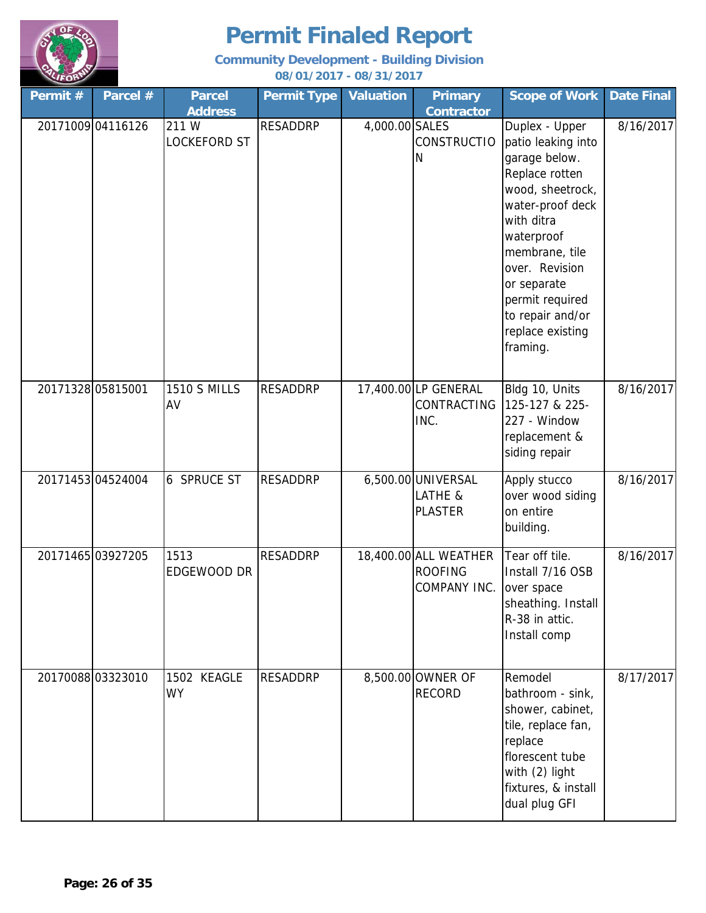

| Permit# | Parcel #          | <b>Parcel</b><br><b>Address</b> | <b>Permit Type</b> | <b>Valuation</b> | <b>Primary</b><br><b>Contractor</b>                     | <b>Scope of Work</b>                                                                                                                                                                                                                                                  | <b>Date Final</b> |
|---------|-------------------|---------------------------------|--------------------|------------------|---------------------------------------------------------|-----------------------------------------------------------------------------------------------------------------------------------------------------------------------------------------------------------------------------------------------------------------------|-------------------|
|         | 20171009 04116126 | 211 W<br><b>LOCKEFORD ST</b>    | <b>RESADDRP</b>    | 4,000.00 SALES   | <b>CONSTRUCTIO</b><br>N                                 | Duplex - Upper<br>patio leaking into<br>garage below.<br>Replace rotten<br>wood, sheetrock,<br>water-proof deck<br>with ditra<br>waterproof<br>membrane, tile<br>over. Revision<br>or separate<br>permit required<br>to repair and/or<br>replace existing<br>framing. | 8/16/2017         |
|         | 20171328 05815001 | <b>1510 S MILLS</b><br>AV       | <b>RESADDRP</b>    |                  | 17,400.00 LP GENERAL<br>CONTRACTING<br>INC.             | Bldg 10, Units<br>125-127 & 225-<br>227 - Window<br>replacement &<br>siding repair                                                                                                                                                                                    | 8/16/2017         |
|         | 2017145304524004  | 6 SPRUCE ST                     | <b>RESADDRP</b>    |                  | 6,500.00 UNIVERSAL<br>LATHE &<br><b>PLASTER</b>         | Apply stucco<br>over wood siding<br>on entire<br>building.                                                                                                                                                                                                            | 8/16/2017         |
|         | 2017146503927205  | 1513<br>EDGEWOOD DR             | <b>RESADDRP</b>    |                  | 18,400.00 ALL WEATHER<br><b>ROOFING</b><br>COMPANY INC. | Tear off tile.<br>Install 7/16 OSB<br>over space<br>sheathing. Install<br>R-38 in attic.<br>Install comp                                                                                                                                                              | 8/16/2017         |
|         | 2017008803323010  | 1502 KEAGLE<br><b>WY</b>        | <b>RESADDRP</b>    |                  | 8,500.00 OWNER OF<br><b>RECORD</b>                      | Remodel<br>bathroom - sink,<br>shower, cabinet,<br>tile, replace fan,<br>replace<br>florescent tube<br>with (2) light<br>fixtures, & install<br>dual plug GFI                                                                                                         | 8/17/2017         |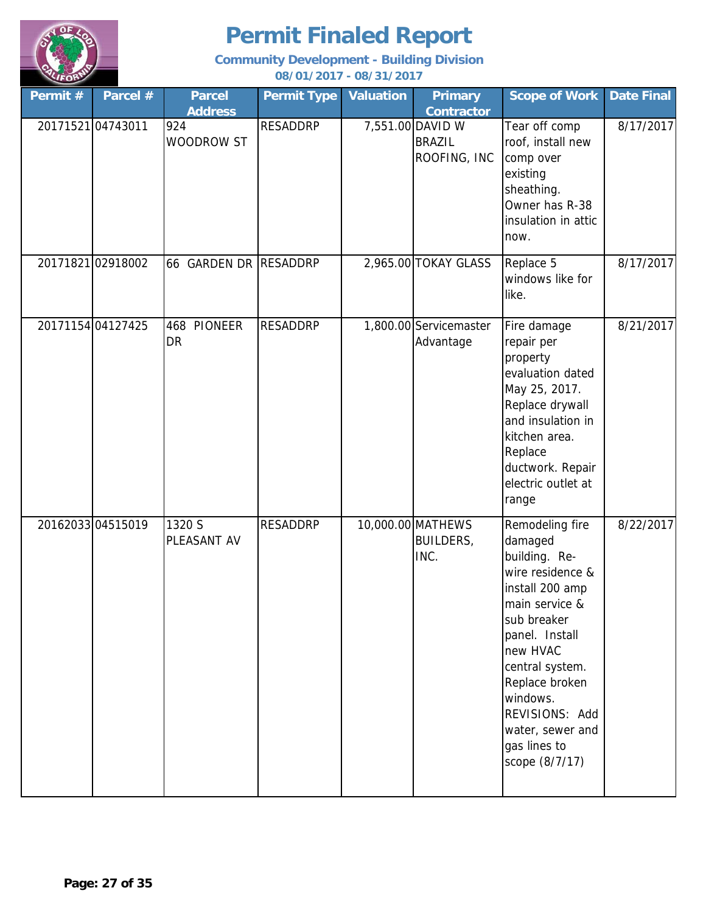

| Permit #         | Parcel #          | <b>Parcel</b><br><b>Address</b> | <b>Permit Type</b> | <b>Valuation</b> | <b>Primary</b><br><b>Contractor</b>               | <b>Scope of Work</b>                                                                                                                                                                                                                                                       | <b>Date Final</b> |
|------------------|-------------------|---------------------------------|--------------------|------------------|---------------------------------------------------|----------------------------------------------------------------------------------------------------------------------------------------------------------------------------------------------------------------------------------------------------------------------------|-------------------|
| 2017152104743011 |                   | 924<br><b>WOODROW ST</b>        | <b>RESADDRP</b>    |                  | 7,551.00 DAVID W<br><b>BRAZIL</b><br>ROOFING, INC | Tear off comp<br>roof, install new<br>comp over<br>existing<br>sheathing.<br>Owner has R-38<br>insulation in attic<br>now.                                                                                                                                                 | 8/17/2017         |
|                  | 2017182102918002  | 66 GARDEN DR RESADDRP           |                    |                  | 2,965.00 TOKAY GLASS                              | Replace 5<br>windows like for<br>like.                                                                                                                                                                                                                                     | 8/17/2017         |
|                  | 20171154 04127425 | 468 PIONEER<br>DR               | <b>RESADDRP</b>    |                  | 1,800.00 Servicemaster<br>Advantage               | Fire damage<br>repair per<br>property<br>evaluation dated<br>May 25, 2017.<br>Replace drywall<br>and insulation in<br>kitchen area.<br>Replace<br>ductwork. Repair<br>electric outlet at<br>range                                                                          | 8/21/2017         |
|                  | 2016203304515019  | 1320 S<br>PLEASANT AV           | <b>RESADDRP</b>    |                  | 10,000.00 MATHEWS<br><b>BUILDERS,</b><br>INC.     | Remodeling fire<br>damaged<br>building. Re-<br>wire residence &<br>install 200 amp<br>main service &<br>sub breaker<br>panel. Install<br>new HVAC<br>central system.<br>Replace broken<br>windows.<br>REVISIONS: Add<br>water, sewer and<br>gas lines to<br>scope (8/7/17) | 8/22/2017         |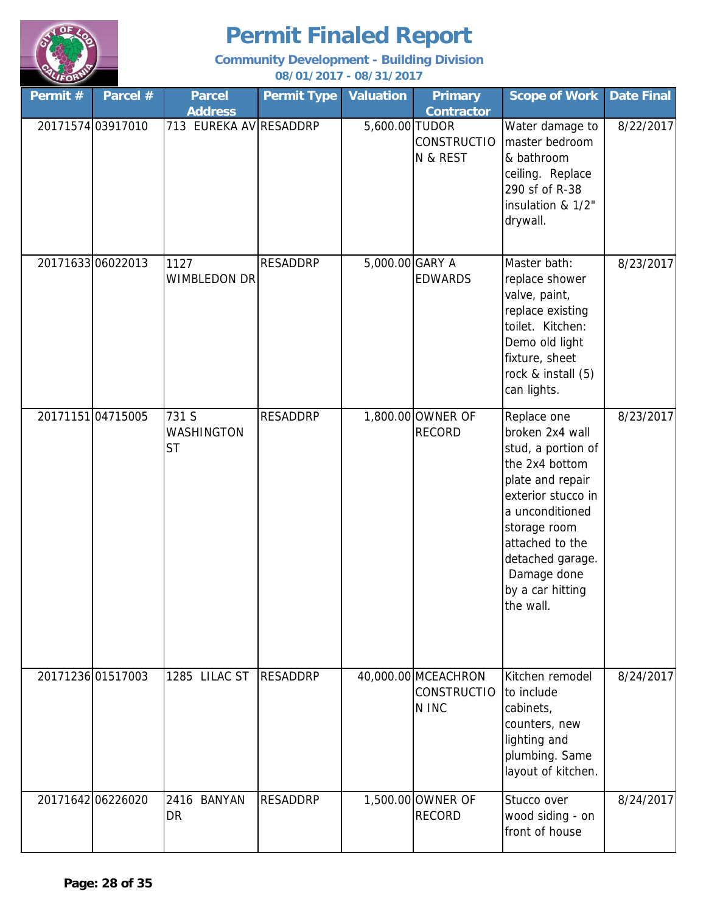

| Permit # | Parcel #          | <b>Parcel</b><br><b>Address</b>  | <b>Permit Type</b> | <b>Valuation</b> | <b>Primary</b><br><b>Contractor</b>                | <b>Scope of Work</b>                                                                                                                                                                                                                       | <b>Date Final</b> |
|----------|-------------------|----------------------------------|--------------------|------------------|----------------------------------------------------|--------------------------------------------------------------------------------------------------------------------------------------------------------------------------------------------------------------------------------------------|-------------------|
|          | 20171574 03917010 | 713 EUREKA AV RESADDRP           |                    | 5,600.00 TUDOR   | <b>CONSTRUCTIO</b><br>N & REST                     | Water damage to<br>master bedroom<br>& bathroom<br>ceiling. Replace<br>290 sf of R-38<br>insulation & 1/2"<br>drywall.                                                                                                                     | 8/22/2017         |
|          | 2017163306022013  | 1127<br><b>WIMBLEDON DR</b>      | <b>RESADDRP</b>    | 5,000.00 GARY A  | <b>EDWARDS</b>                                     | Master bath:<br>replace shower<br>valve, paint,<br>replace existing<br>toilet. Kitchen:<br>Demo old light<br>fixture, sheet<br>rock & install (5)<br>can lights.                                                                           | 8/23/2017         |
|          | 20171151 04715005 | 731 S<br>WASHINGTON<br><b>ST</b> | <b>RESADDRP</b>    |                  | 1,800.00 OWNER OF<br><b>RECORD</b>                 | Replace one<br>broken 2x4 wall<br>stud, a portion of<br>the 2x4 bottom<br>plate and repair<br>exterior stucco in<br>a unconditioned<br>storage room<br>attached to the<br>detached garage.<br>Damage done<br>by a car hitting<br>the wall. | 8/23/2017         |
|          | 20171236 01517003 | 1285 LILAC ST                    | <b>RESADDRP</b>    |                  | 40,000.00 MCEACHRON<br><b>CONSTRUCTIO</b><br>N INC | Kitchen remodel<br>to include<br>cabinets,<br>counters, new<br>lighting and<br>plumbing. Same<br>layout of kitchen.                                                                                                                        | 8/24/2017         |
|          | 20171642 06226020 | 2416 BANYAN<br><b>DR</b>         | <b>RESADDRP</b>    |                  | 1,500.00 OWNER OF<br><b>RECORD</b>                 | Stucco over<br>wood siding - on<br>front of house                                                                                                                                                                                          | 8/24/2017         |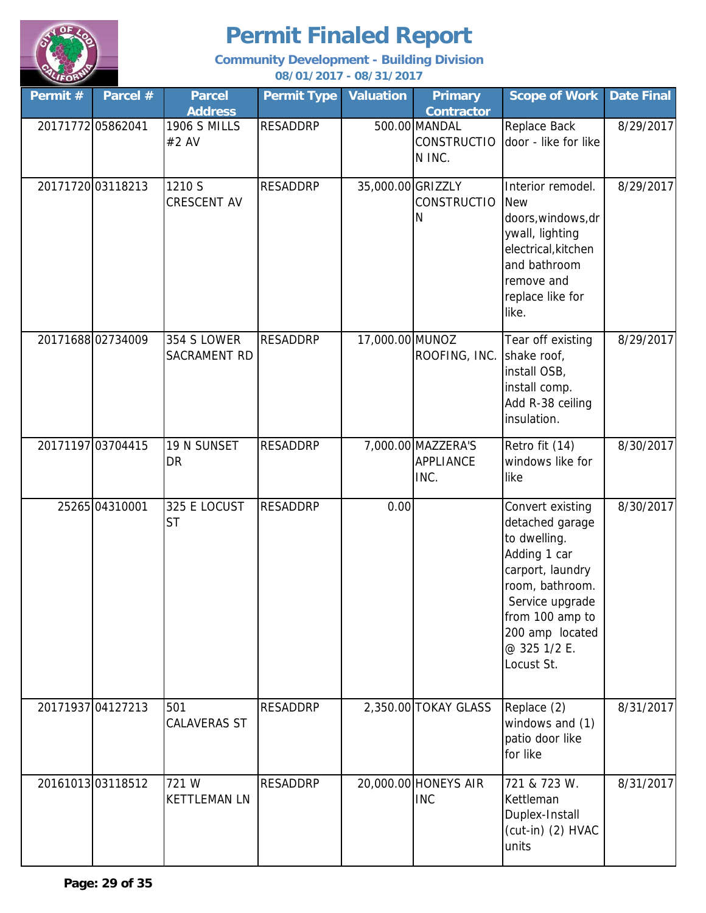

| Permit #          | Parcel #          | <b>Parcel</b><br><b>Address</b> | <b>Permit Type</b> | <b>Valuation</b>  | <b>Primary</b><br><b>Contractor</b>            | <b>Scope of Work</b>                                                                                                                                                                              | <b>Date Final</b> |
|-------------------|-------------------|---------------------------------|--------------------|-------------------|------------------------------------------------|---------------------------------------------------------------------------------------------------------------------------------------------------------------------------------------------------|-------------------|
| 20171772 05862041 |                   | <b>1906 S MILLS</b><br>#2 AV    | <b>RESADDRP</b>    |                   | 500.00 MANDAL<br><b>CONSTRUCTIO</b><br>N INC.  | Replace Back<br>door - like for like                                                                                                                                                              | 8/29/2017         |
| 20171720 03118213 |                   | 1210 S<br><b>CRESCENT AV</b>    | <b>RESADDRP</b>    | 35,000.00 GRIZZLY | <b>CONSTRUCTIO</b><br>N                        | Interior remodel.<br><b>New</b><br>doors, windows, dr<br>ywall, lighting<br>electrical, kitchen<br>and bathroom<br>remove and<br>replace like for<br>like.                                        | 8/29/2017         |
|                   | 2017168802734009  | 354 S LOWER<br>SACRAMENT RD     | <b>RESADDRP</b>    | 17,000.00 MUNOZ   | ROOFING, INC.                                  | Tear off existing<br>shake roof,<br>install OSB,<br>install comp.<br>Add R-38 ceiling<br>insulation.                                                                                              | 8/29/2017         |
|                   | 20171197 03704415 | 19 N SUNSET<br>DR               | <b>RESADDRP</b>    |                   | 7,000.00 MAZZERA'S<br><b>APPLIANCE</b><br>INC. | Retro fit (14)<br>windows like for<br>like                                                                                                                                                        | 8/30/2017         |
|                   | 25265 04310001    | 325 E LOCUST<br><b>ST</b>       | <b>RESADDRP</b>    | 0.00              |                                                | Convert existing<br>detached garage<br>to dwelling.<br>Adding 1 car<br>carport, laundry<br>room, bathroom.<br>Service upgrade<br>from 100 amp to<br>200 amp located<br>@ 325 1/2 E.<br>Locust St. | 8/30/2017         |
|                   | 20171937 04127213 | 501<br><b>CALAVERAS ST</b>      | <b>RESADDRP</b>    |                   | 2,350.00 TOKAY GLASS                           | Replace (2)<br>windows and (1)<br>patio door like<br>for like                                                                                                                                     | 8/31/2017         |
|                   | 2016101303118512  | 721 W<br><b>KETTLEMAN LN</b>    | <b>RESADDRP</b>    |                   | 20,000.00 HONEYS AIR<br><b>INC</b>             | 721 & 723 W.<br>Kettleman<br>Duplex-Install<br>(cut-in) (2) HVAC<br>units                                                                                                                         | 8/31/2017         |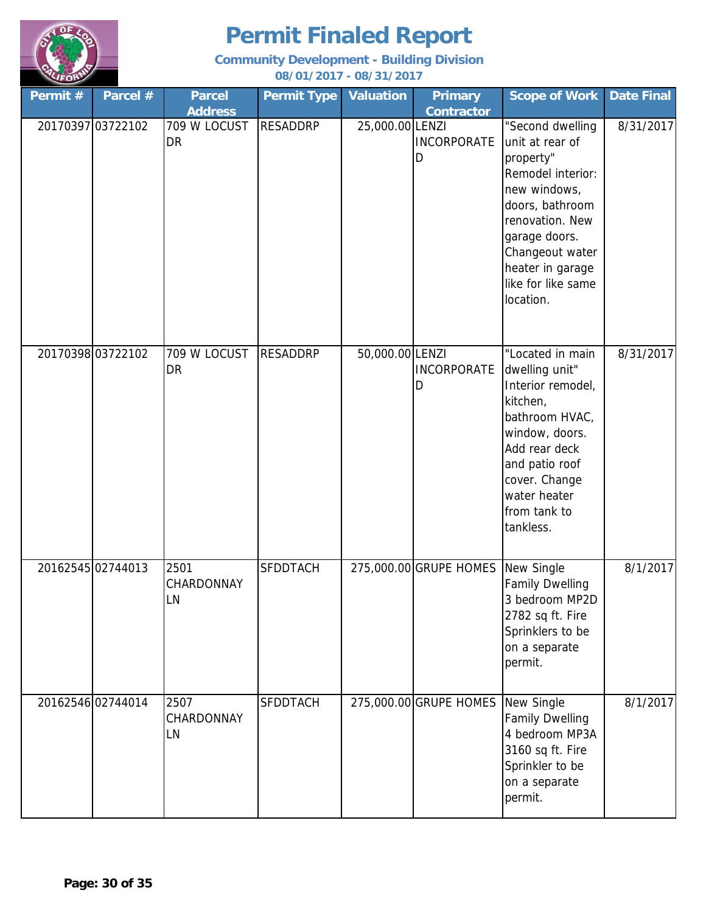

| Permit #          | Parcel # | <b>Parcel</b><br><b>Address</b> | <b>Permit Type</b> | <b>Valuation</b> | <b>Primary</b><br><b>Contractor</b> | <b>Scope of Work</b>                                                                                                                                                                                                   | <b>Date Final</b> |
|-------------------|----------|---------------------------------|--------------------|------------------|-------------------------------------|------------------------------------------------------------------------------------------------------------------------------------------------------------------------------------------------------------------------|-------------------|
| 20170397 03722102 |          | 709 W LOCUST<br>DR              | <b>RESADDRP</b>    | 25,000.00 LENZI  | <b>INCORPORATE</b><br>D             | "Second dwelling<br>unit at rear of<br>property"<br>Remodel interior:<br>new windows,<br>doors, bathroom<br>renovation. New<br>garage doors.<br>Changeout water<br>heater in garage<br>like for like same<br>location. | 8/31/2017         |
| 2017039803722102  |          | 709 W LOCUST<br><b>DR</b>       | <b>RESADDRP</b>    | 50,000.00 LENZI  | <b>INCORPORATE</b><br>D             | "Located in main<br>dwelling unit"<br>Interior remodel,<br>kitchen,<br>bathroom HVAC,<br>window, doors.<br>Add rear deck<br>and patio roof<br>cover. Change<br>water heater<br>from tank to<br>tankless.               | 8/31/2017         |
| 20162545 02744013 |          | 2501<br>CHARDONNAY<br>LN        | <b>SFDDTACH</b>    |                  | 275,000.00 GRUPE HOMES              | New Single<br><b>Family Dwelling</b><br>3 bedroom MP2D<br>2782 sq ft. Fire<br>Sprinklers to be<br>on a separate<br>permit.                                                                                             | 8/1/2017          |
| 20162546 02744014 |          | 2507<br>CHARDONNAY<br>LN        | <b>SFDDTACH</b>    |                  | 275,000.00 GRUPE HOMES              | New Single<br><b>Family Dwelling</b><br>4 bedroom MP3A<br>3160 sq ft. Fire<br>Sprinkler to be<br>on a separate<br>permit.                                                                                              | 8/1/2017          |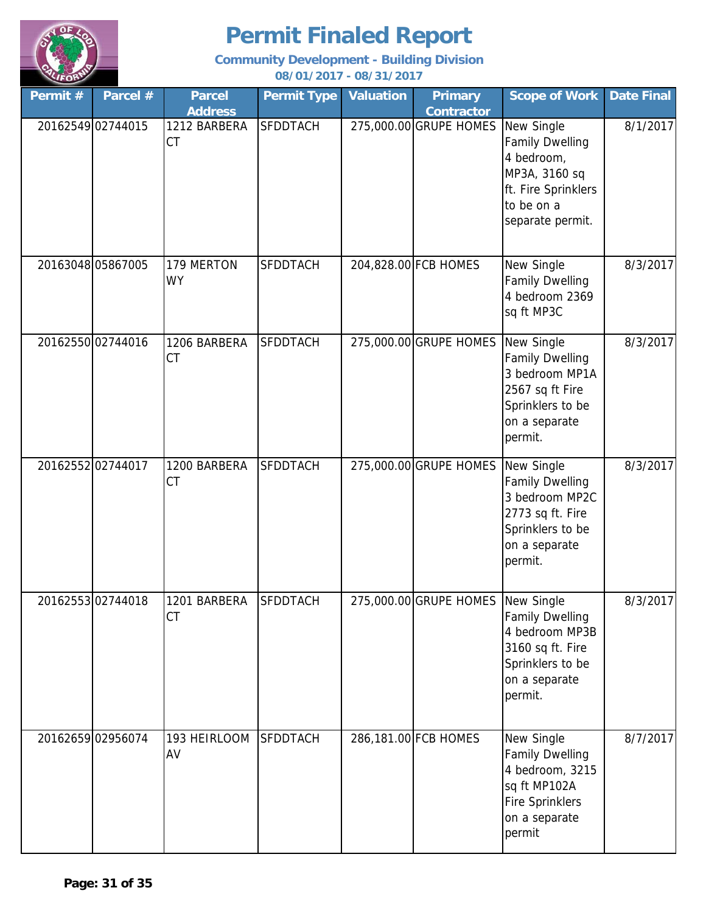

| Permit # | Parcel #          | <b>Parcel</b><br><b>Address</b> | <b>Permit Type</b> | <b>Valuation</b> | <b>Primary</b><br><b>Contractor</b> | <b>Scope of Work</b>                                                                                                         | <b>Date Final</b> |
|----------|-------------------|---------------------------------|--------------------|------------------|-------------------------------------|------------------------------------------------------------------------------------------------------------------------------|-------------------|
|          | 20162549 02744015 | 1212 BARBERA<br><b>CT</b>       | <b>SFDDTACH</b>    |                  | 275,000.00 GRUPE HOMES              | New Single<br><b>Family Dwelling</b><br>4 bedroom,<br>MP3A, 3160 sq<br>ft. Fire Sprinklers<br>to be on a<br>separate permit. | 8/1/2017          |
|          | 20163048 05867005 | 179 MERTON<br><b>WY</b>         | <b>SFDDTACH</b>    |                  | 204,828.00 FCB HOMES                | New Single<br><b>Family Dwelling</b><br>4 bedroom 2369<br>sq ft MP3C                                                         | 8/3/2017          |
|          | 2016255002744016  | 1206 BARBERA<br><b>CT</b>       | <b>SFDDTACH</b>    |                  | 275,000.00 GRUPE HOMES              | New Single<br><b>Family Dwelling</b><br>3 bedroom MP1A<br>2567 sq ft Fire<br>Sprinklers to be<br>on a separate<br>permit.    | 8/3/2017          |
|          | 20162552 02744017 | 1200 BARBERA<br>CT              | <b>SFDDTACH</b>    |                  | 275,000.00 GRUPE HOMES New Single   | <b>Family Dwelling</b><br>3 bedroom MP2C<br>2773 sq ft. Fire<br>Sprinklers to be<br>on a separate<br>permit.                 | 8/3/2017          |
|          | 2016255302744018  | 1201 BARBERA<br><b>CT</b>       | <b>SFDDTACH</b>    |                  | 275,000.00 GRUPE HOMES New Single   | <b>Family Dwelling</b><br>4 bedroom MP3B<br>3160 sq ft. Fire<br>Sprinklers to be<br>on a separate<br>permit.                 | 8/3/2017          |
|          | 20162659 02956074 | 193 HEIRLOOM<br>AV              | <b>SFDDTACH</b>    |                  | 286,181.00 FCB HOMES                | New Single<br><b>Family Dwelling</b><br>4 bedroom, 3215<br>sq ft MP102A<br><b>Fire Sprinklers</b><br>on a separate<br>permit | 8/7/2017          |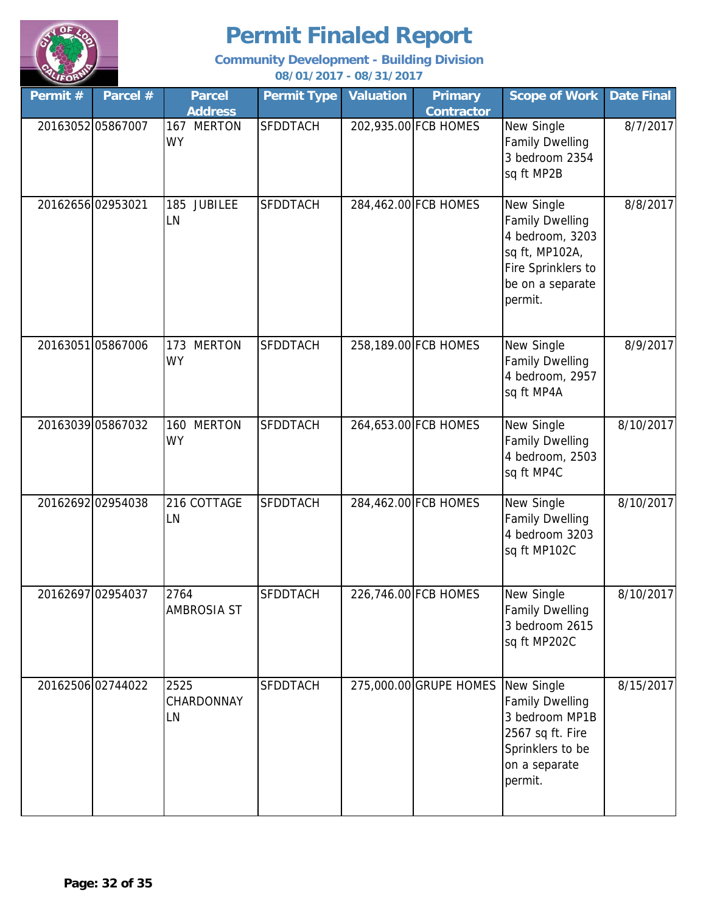

| Permit # | Parcel #          | <b>Parcel</b><br><b>Address</b>   | <b>Permit Type</b> | <b>Valuation</b> | <b>Primary</b><br><b>Contractor</b> | <b>Scope of Work</b>                                                                                                           | <b>Date Final</b> |
|----------|-------------------|-----------------------------------|--------------------|------------------|-------------------------------------|--------------------------------------------------------------------------------------------------------------------------------|-------------------|
|          | 20163052 05867007 | 167 MERTON<br><b>WY</b>           | <b>SFDDTACH</b>    |                  | 202,935.00 FCB HOMES                | New Single<br><b>Family Dwelling</b><br>3 bedroom 2354<br>sq ft MP2B                                                           | 8/7/2017          |
|          | 20162656 02953021 | 185 JUBILEE<br>LN                 | <b>SFDDTACH</b>    |                  | 284,462.00 FCB HOMES                | New Single<br><b>Family Dwelling</b><br>4 bedroom, 3203<br>sq ft, MP102A,<br>Fire Sprinklers to<br>be on a separate<br>permit. | 8/8/2017          |
|          | 2016305105867006  | 173<br><b>MERTON</b><br><b>WY</b> | <b>SFDDTACH</b>    |                  | 258,189.00 FCB HOMES                | New Single<br><b>Family Dwelling</b><br>4 bedroom, 2957<br>sq ft MP4A                                                          | 8/9/2017          |
|          | 20163039 05867032 | <b>MERTON</b><br>160<br><b>WY</b> | <b>SFDDTACH</b>    |                  | 264,653.00 FCB HOMES                | New Single<br><b>Family Dwelling</b><br>4 bedroom, 2503<br>sq ft MP4C                                                          | 8/10/2017         |
|          | 20162692 02954038 | 216 COTTAGE<br>LN                 | <b>SFDDTACH</b>    |                  | 284,462.00 FCB HOMES                | New Single<br><b>Family Dwelling</b><br>4 bedroom 3203<br>sq ft MP102C                                                         | 8/10/2017         |
|          | 20162697 02954037 | 2764<br>AMBROSIA ST               | <b>SFDDTACH</b>    |                  | 226,746.00 FCB HOMES                | New Single<br><b>Family Dwelling</b><br>3 bedroom 2615<br>sq ft MP202C                                                         | 8/10/2017         |
|          | 20162506 02744022 | 2525<br>CHARDONNAY<br>LN          | <b>SFDDTACH</b>    |                  | 275,000.00 GRUPE HOMES              | New Single<br><b>Family Dwelling</b><br>3 bedroom MP1B<br>2567 sq ft. Fire<br>Sprinklers to be<br>on a separate<br>permit.     | 8/15/2017         |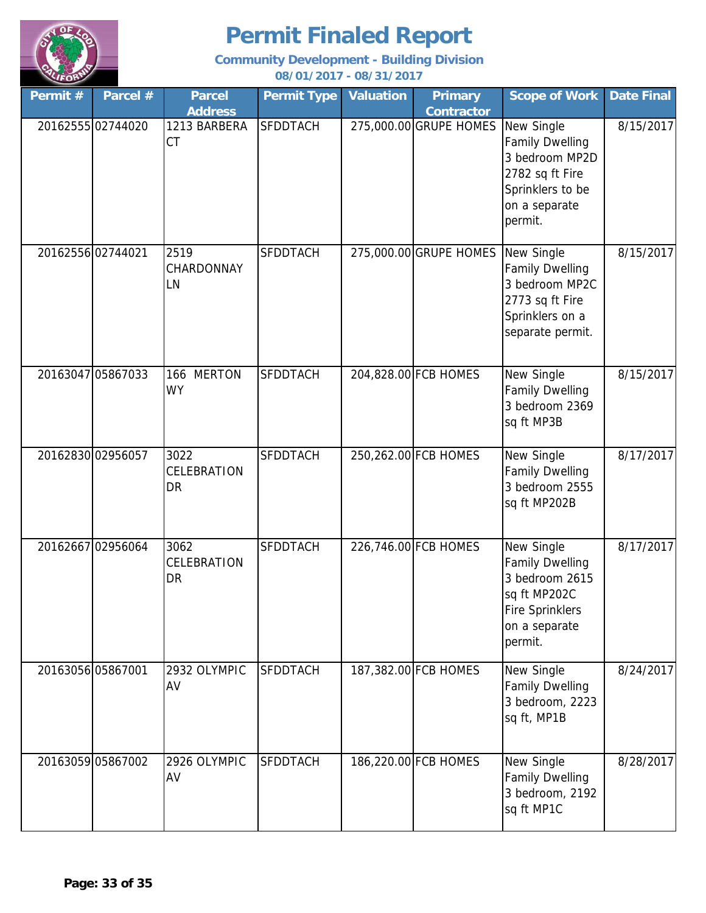

| Permit#           | Parcel #          | <b>Parcel</b><br><b>Address</b>   | <b>Permit Type</b> | <b>Valuation</b> | <b>Primary</b><br><b>Contractor</b> | <b>Scope of Work</b>                                                                                                      | <b>Date Final</b> |
|-------------------|-------------------|-----------------------------------|--------------------|------------------|-------------------------------------|---------------------------------------------------------------------------------------------------------------------------|-------------------|
|                   | 2016255502744020  | 1213 BARBERA<br><b>CT</b>         | <b>SFDDTACH</b>    |                  | 275,000.00 GRUPE HOMES              | New Single<br><b>Family Dwelling</b><br>3 bedroom MP2D<br>2782 sq ft Fire<br>Sprinklers to be<br>on a separate<br>permit. | 8/15/2017         |
| 20162556 02744021 |                   | 2519<br>CHARDONNAY<br>LN          | <b>SFDDTACH</b>    |                  | 275,000.00 GRUPE HOMES              | New Single<br><b>Family Dwelling</b><br>3 bedroom MP2C<br>2773 sq ft Fire<br>Sprinklers on a<br>separate permit.          | 8/15/2017         |
|                   | 20163047 05867033 | <b>MERTON</b><br>166<br><b>WY</b> | <b>SFDDTACH</b>    |                  | 204,828.00 FCB HOMES                | New Single<br><b>Family Dwelling</b><br>3 bedroom 2369<br>sq ft MP3B                                                      | 8/15/2017         |
| 20162830 02956057 |                   | 3022<br><b>CELEBRATION</b><br>DR  | <b>SFDDTACH</b>    |                  | 250,262.00 FCB HOMES                | New Single<br><b>Family Dwelling</b><br>3 bedroom 2555<br>sq ft MP202B                                                    | 8/17/2017         |
| 20162667 02956064 |                   | 3062<br>CELEBRATION<br>DR         | <b>SFDDTACH</b>    |                  | 226,746.00 FCB HOMES                | New Single<br><b>Family Dwelling</b><br>3 bedroom 2615<br>sq ft MP202C<br>Fire Sprinklers<br>on a separate<br>permit.     | 8/17/2017         |
| 20163056 05867001 |                   | 2932 OLYMPIC<br>AV                | <b>SFDDTACH</b>    |                  | 187,382.00 FCB HOMES                | New Single<br><b>Family Dwelling</b><br>3 bedroom, 2223<br>sq ft, MP1B                                                    | 8/24/2017         |
|                   | 20163059 05867002 | 2926 OLYMPIC<br>AV                | <b>SFDDTACH</b>    |                  | 186,220.00 FCB HOMES                | New Single<br><b>Family Dwelling</b><br>3 bedroom, 2192<br>sq ft MP1C                                                     | 8/28/2017         |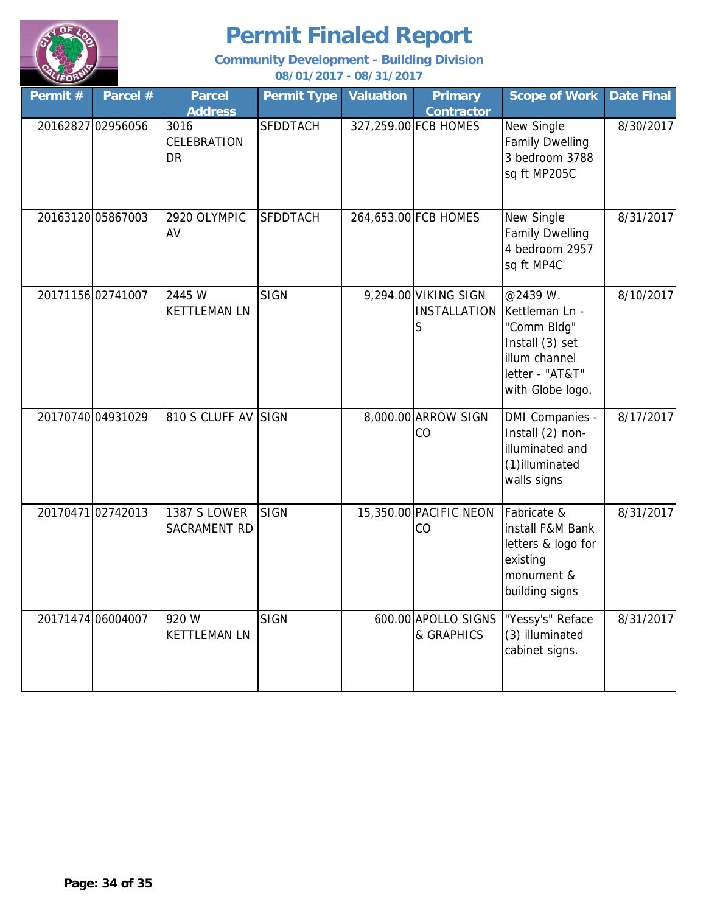

| Permit # | Parcel #          | <b>Parcel</b><br><b>Address</b>     | <b>Permit Type</b> | <b>Valuation</b> | <b>Primary</b><br><b>Contractor</b>              | <b>Scope of Work</b>                                                                                                 | <b>Date Final</b> |
|----------|-------------------|-------------------------------------|--------------------|------------------|--------------------------------------------------|----------------------------------------------------------------------------------------------------------------------|-------------------|
|          | 20162827 02956056 | 3016<br>CELEBRATION<br>DR           | <b>SFDDTACH</b>    |                  | 327,259.00 FCB HOMES                             | New Single<br><b>Family Dwelling</b><br>3 bedroom 3788<br>sq ft MP205C                                               | 8/30/2017         |
|          | 2016312005867003  | 2920 OLYMPIC<br>AV                  | <b>SFDDTACH</b>    |                  | 264,653.00 FCB HOMES                             | New Single<br><b>Family Dwelling</b><br>4 bedroom 2957<br>sq ft MP4C                                                 | 8/31/2017         |
|          | 20171156 02741007 | 2445 W<br><b>KETTLEMAN LN</b>       | <b>SIGN</b>        |                  | 9,294.00 VIKING SIGN<br><b>INSTALLATION</b><br>S | @2439 W.<br>Kettleman Ln -<br>"Comm Bldg"<br>Install (3) set<br>illum channel<br>letter - "AT&T"<br>with Globe logo. | 8/10/2017         |
|          | 20170740 04931029 | 810 S CLUFF AV SIGN                 |                    |                  | 8,000.00 ARROW SIGN<br>CO                        | <b>DMI Companies -</b><br>Install (2) non-<br>illuminated and<br>(1)illuminated<br>walls signs                       | 8/17/2017         |
|          | 2017047102742013  | <b>1387 S LOWER</b><br>SACRAMENT RD | <b>SIGN</b>        |                  | 15,350.00 PACIFIC NEON<br>CO                     | Fabricate &<br>install F&M Bank<br>letters & logo for<br>existing<br>monument &<br>building signs                    | 8/31/2017         |
|          | 20171474 06004007 | 920 W<br><b>KETTLEMAN LN</b>        | <b>SIGN</b>        |                  | 600.00 APOLLO SIGNS<br>& GRAPHICS                | "Yessy's" Reface<br>(3) illuminated<br>cabinet signs.                                                                | 8/31/2017         |